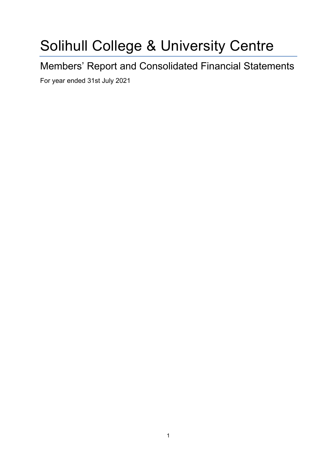# Solihull College & University Centre

Members' Report and Consolidated Financial Statements

For year ended 31st July 2021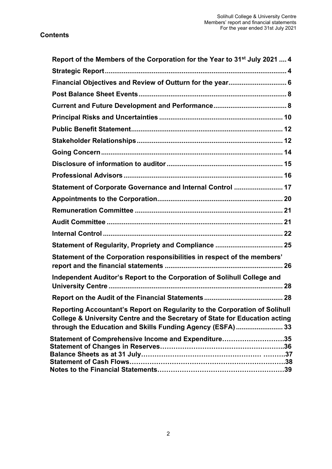| Report of the Members of the Corporation for the Year to 31 <sup>st</sup> July 2021  4                                                                                                                                  |
|-------------------------------------------------------------------------------------------------------------------------------------------------------------------------------------------------------------------------|
|                                                                                                                                                                                                                         |
| Financial Objectives and Review of Outturn for the year 6                                                                                                                                                               |
|                                                                                                                                                                                                                         |
|                                                                                                                                                                                                                         |
|                                                                                                                                                                                                                         |
|                                                                                                                                                                                                                         |
|                                                                                                                                                                                                                         |
|                                                                                                                                                                                                                         |
|                                                                                                                                                                                                                         |
|                                                                                                                                                                                                                         |
| Statement of Corporate Governance and Internal Control  17                                                                                                                                                              |
|                                                                                                                                                                                                                         |
|                                                                                                                                                                                                                         |
|                                                                                                                                                                                                                         |
|                                                                                                                                                                                                                         |
| Statement of Regularity, Propriety and Compliance  25                                                                                                                                                                   |
| Statement of the Corporation responsibilities in respect of the members'                                                                                                                                                |
| Independent Auditor's Report to the Corporation of Solihull College and                                                                                                                                                 |
|                                                                                                                                                                                                                         |
| Reporting Accountant's Report on Regularity to the Corporation of Solihull<br>College & University Centre and the Secretary of State for Education acting<br>through the Education and Skills Funding Agency (ESFA)  33 |
| Statement of Comprehensive Income and Expenditure35                                                                                                                                                                     |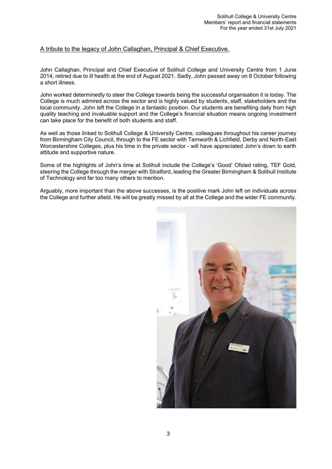# A tribute to the legacy of John Callaghan, Principal & Chief Executive.

John Callaghan, Principal and Chief Executive of Solihull College and University Centre from 1 June 2014, retired due to ill health at the end of August 2021. Sadly, John passed away on 8 October following a short illness.

John worked determinedly to steer the College towards being the successful organisation it is today. The College is much admired across the sector and is highly valued by students, staff, stakeholders and the local community. John left the College in a fantastic position. Our students are benefiting daily from high quality teaching and invaluable support and the College's financial situation means ongoing investment can take place for the benefit of both students and staff.

As well as those linked to Solihull College & University Centre, colleagues throughout his career journey from Birmingham City Council, through to the FE sector with Tamworth & Lichfield, Derby and North-East Worcestershire Colleges, plus his time in the private sector - will have appreciated John's down to earth attitude and supportive nature.

Some of the highlights of John's time at Solihull include the College's 'Good' Ofsted rating, TEF Gold, steering the College through the merger with Stratford, leading the Greater Birmingham & Solihull Institute of Technology and far too many others to mention.

Arguably, more important than the above successes, is the positive mark John left on individuals across the College and further afield. He will be greatly missed by all at the College and the wider FE community.

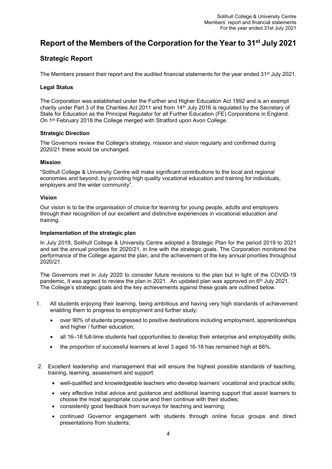# <span id="page-3-0"></span>**Report of the Members of the Corporation for the Year to 31st July 2021**

# <span id="page-3-1"></span>**Strategic Report**

The Members present their report and the audited financial statements for the year ended 31<sup>st</sup> July 2021.

# **Legal Status**

The Corporation was established under the Further and Higher Education Act 1992 and is an exempt charity under Part 3 of the Charities Act 2011 and from 14th July 2016 is regulated by the Secretary of State for Education as the Principal Regulator for all Further Education (FE) Corporations in England. On 1st February 2018 the College merged with Stratford upon Avon College.

# **Strategic Direction**

The Governors review the College's strategy, mission and vision regularly and confirmed during 2020/21 these would be unchanged.

# **Mission**

"Solihull College & University Centre will make significant contributions to the local and regional economies and beyond, by providing high quality vocational education and training for individuals, employers and the wider community".

# **Vision**

Our vision is to be the organisation of choice for learning for young people, adults and employers through their recognition of our excellent and distinctive experiences in vocational education and training.

# **Implementation of the strategic plan**

In July 2019, Solihull College & University Centre adopted a Strategic Plan for the period 2019 to 2021 and set the annual priorities for 2020/21, in line with the strategic goals. The Corporation monitored the performance of the College against the plan, and the achievement of the key annual priorities throughout 2020/21.

The Governors met in July 2020 to consider future revisions to the plan but in light of the COVID-19 pandemic, it was agreed to review the plan in 2021. An updated plan was approved on  $6<sup>th</sup>$  July 2021. The College's strategic goals and the key achievements against these goals are outlined below.

- 1. All students enjoying their learning, being ambitious and having very high standards of achievement enabling them to progress to employment and further study:
	- over 90% of students progressed to positive destinations including employment, apprenticeships and higher / further education;
	- all 16–18 full-time students had opportunities to develop their enterprise and employability skills;
	- the proportion of successful learners at level 3 aged 16-18 has remained high at 88%.
- 2. Excellent leadership and management that will ensure the highest possible standards of teaching, training, learning, assessment and support:
	- well-qualified and knowledgeable teachers who develop learners' vocational and practical skills;
	- very effective initial advice and guidance and additional learning support that assist learners to choose the most appropriate course and then continue with their studies;
	- consistently good feedback from surveys for teaching and learning;
	- continued Governor engagement with students through online focus groups and direct presentations from students;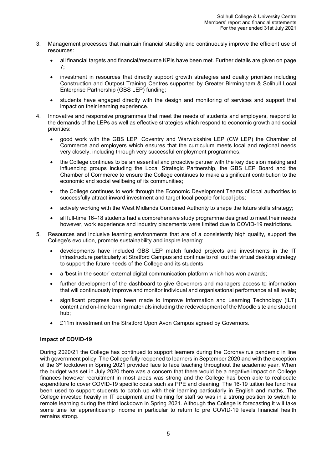- 3. Management processes that maintain financial stability and continuously improve the efficient use of resources:
	- all financial targets and financial/resource KPIs have been met. Further details are given on page 7;
	- investment in resources that directly support growth strategies and quality priorities including Construction and Outpost Training Centres supported by Greater Birmingham & Solihull Local Enterprise Partnership (GBS LEP) funding;
	- students have engaged directly with the design and monitoring of services and support that impact on their learning experience.
- 4. Innovative and responsive programmes that meet the needs of students and employers, respond to the demands of the LEPs as well as effective strategies which respond to economic growth and social priorities:
	- good work with the GBS LEP, Coventry and Warwickshire LEP (CW LEP) the Chamber of Commerce and employers which ensures that the curriculum meets local and regional needs very closely, including through very successful employment programmes;
	- the College continues to be an essential and proactive partner with the key decision making and influencing groups including the Local Strategic Partnership, the GBS LEP Board and the Chamber of Commerce to ensure the College continues to make a significant contribution to the economic and social wellbeing of its communities;
	- the College continues to work through the Economic Development Teams of local authorities to successfully attract inward investment and target local people for local jobs;
	- actively working with the West Midlands Combined Authority to shape the future skills strategy;
	- all full-time 16–18 students had a comprehensive study programme designed to meet their needs however, work experience and industry placements were limited due to COVID-19 restrictions.
- 5. Resources and inclusive learning environments that are of a consistently high quality, support the College's evolution, promote sustainability and inspire learning:
	- developments have included GBS LEP match funded projects and investments in the IT infrastructure particularly at Stratford Campus and continue to roll out the virtual desktop strategy to support the future needs of the College and its students;
	- a 'best in the sector' external digital communication platform which has won awards;
	- further development of the dashboard to give Governors and managers access to information that will continuously improve and monitor individual and organisational performance at all levels;
	- significant progress has been made to improve Information and Learning Technology (ILT) content and on-line learning materials including the redevelopment of the Moodle site and student hub;
	- £11m investment on the Stratford Upon Avon Campus agreed by Governors.

# **Impact of COVID-19**

During 2020/21 the College has continued to support learners during the Coronavirus pandemic in line with government policy. The College fully reopened to learners in September 2020 and with the exception of the 3<sup>rd</sup> lockdown in Spring 2021 provided face to face teaching throughout the academic year. When the budget was set in July 2020 there was a concern that there would be a negative impact on College finances however recruitment in most areas was strong and the College has been able to reallocate expenditure to cover COVID-19 specific costs such as PPE and cleaning. The 16-19 tuition fee fund has been used to support students to catch up with their learning particularly in English and maths. The College invested heavily in IT equipment and training for staff so was in a strong position to switch to remote learning during the third lockdown in Spring 2021. Although the College is forecasting it will take some time for apprenticeship income in particular to return to pre COVID-19 levels financial health remains strong.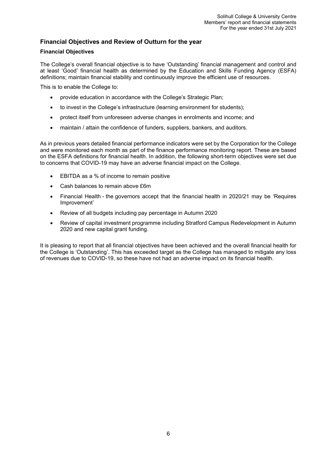# <span id="page-5-0"></span>**Financial Objectives and Review of Outturn for the year**

# **Financial Objectives**

The College's overall financial objective is to have 'Outstanding' financial management and control and at least 'Good' financial health as determined by the Education and Skills Funding Agency (ESFA) definitions; maintain financial stability and continuously improve the efficient use of resources.

This is to enable the College to:

- provide education in accordance with the College's Strategic Plan:
- to invest in the College's infrastructure (learning environment for students);
- protect itself from unforeseen adverse changes in enrolments and income; and
- maintain / attain the confidence of funders, suppliers, bankers, and auditors.

As in previous years detailed financial performance indicators were set by the Corporation for the College and were monitored each month as part of the finance performance monitoring report. These are based on the ESFA definitions for financial health. In addition, the following short-term objectives were set due to concerns that COVID-19 may have an adverse financial impact on the College.

- EBITDA as a % of income to remain positive
- Cash balances to remain above £6m
- Financial Health the governors accept that the financial health in 2020/21 may be 'Requires Improvement'
- Review of all budgets including pay percentage in Autumn 2020
- Review of capital investment programme including Stratford Campus Redevelopment in Autumn 2020 and new capital grant funding.

It is pleasing to report that all financial objectives have been achieved and the overall financial health for the College is 'Outstanding'. This has exceeded target as the College has managed to mitigate any loss of revenues due to COVID-19, so these have not had an adverse impact on its financial health.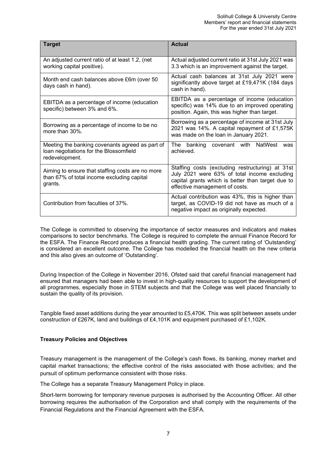| <b>Target</b>                                                                                               | <b>Actual</b>                                                                                                                                                                           |
|-------------------------------------------------------------------------------------------------------------|-----------------------------------------------------------------------------------------------------------------------------------------------------------------------------------------|
| An adjusted current ratio of at least 1.2, (net<br>working capital positive).                               | Actual adjusted current ratio at 31st July 2021 was<br>3.3 which is an improvement against the target.                                                                                  |
| Month end cash balances above £6m (over 50<br>days cash in hand).                                           | Actual cash balances at 31st July 2021 were<br>significantly above target at £19,471K (184 days<br>cash in hand).                                                                       |
| EBITDA as a percentage of income (education<br>specific) between 3% and 6%.                                 | EBITDA as a percentage of income (education<br>specific) was 14% due to an improved operating<br>position. Again, this was higher than target.                                          |
| Borrowing as a percentage of income to be no<br>more than 30%.                                              | Borrowing as a percentage of income at 31st July<br>2021 was 14%. A capital repayment of £1,575K<br>was made on the loan in January 2021.                                               |
| Meeting the banking covenants agreed as part of<br>loan negotiations for the Blossomfield<br>redevelopment. | The banking covenant with NatWest<br>was<br>achieved.                                                                                                                                   |
| Aiming to ensure that staffing costs are no more<br>than 67% of total income excluding capital<br>grants.   | Staffing costs (excluding restructuring) at 31st<br>July 2021 were 63% of total income excluding<br>capital grants which is better than target due to<br>effective management of costs. |
| Contribution from faculties of 37%.                                                                         | Actual contribution was 43%, this is higher than<br>target, as COVID-19 did not have as much of a<br>negative impact as originally expected.                                            |

The College is committed to observing the importance of sector measures and indicators and makes comparisons to sector benchmarks. The College is required to complete the annual Finance Record for the ESFA. The Finance Record produces a financial health grading. The current rating of 'Outstanding' is considered an excellent outcome. The College has modelled the financial health on the new criteria and this also gives an outcome of 'Outstanding'.

During Inspection of the College in November 2016, Ofsted said that careful financial management had ensured that managers had been able to invest in high-quality resources to support the development of all programmes, especially those in STEM subjects and that the College was well placed financially to sustain the quality of its provision.

Tangible fixed asset additions during the year amounted to £5,470K. This was split between assets under construction of £267K, land and buildings of £4,101K and equipment purchased of £1,102K.

# **Treasury Policies and Objectives**

Treasury management is the management of the College's cash flows, its banking, money market and capital market transactions; the effective control of the risks associated with those activities; and the pursuit of optimum performance consistent with those risks.

The College has a separate Treasury Management Policy in place.

Short-term borrowing for temporary revenue purposes is authorised by the Accounting Officer. All other borrowing requires the authorisation of the Corporation and shall comply with the requirements of the Financial Regulations and the Financial Agreement with the ESFA.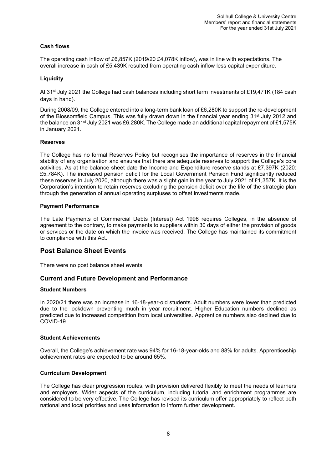# **Cash flows**

The operating cash inflow of £6,857K (2019/20 £4,078K inflow), was in line with expectations. The overall increase in cash of £5,439K resulted from operating cash inflow less capital expenditure.

# **Liquidity**

At 31st July 2021 the College had cash balances including short term investments of £19,471K (184 cash days in hand).

During 2008/09, the College entered into a long-term bank loan of £6,280K to support the re-development of the Blossomfield Campus. This was fully drawn down in the financial year ending 31<sup>st</sup> July 2012 and the balance on 31<sup>st</sup> July 2021 was £6,280K. The College made an additional capital repayment of £1,575K in January 2021.

# **Reserves**

The College has no formal Reserves Policy but recognises the importance of reserves in the financial stability of any organisation and ensures that there are adequate reserves to support the College's core activities. As at the balance sheet date the Income and Expenditure reserve stands at £7,397K (2020: £5,784K). The increased pension deficit for the Local Government Pension Fund significantly reduced these reserves in July 2020, although there was a slight gain in the year to July 2021 of £1,357K. It is the Corporation's intention to retain reserves excluding the pension deficit over the life of the strategic plan through the generation of annual operating surpluses to offset investments made.

# **Payment Performance**

The Late Payments of Commercial Debts (Interest) Act 1998 requires Colleges, in the absence of agreement to the contrary, to make payments to suppliers within 30 days of either the provision of goods or services or the date on which the invoice was received. The College has maintained its commitment to compliance with this Act.

# <span id="page-7-0"></span>**Post Balance Sheet Events**

There were no post balance sheet events

# <span id="page-7-1"></span>**Current and Future Development and Performance**

### **Student Numbers**

In 2020/21 there was an increase in 16-18-year-old students. Adult numbers were lower than predicted due to the lockdown preventing much in year recruitment. Higher Education numbers declined as predicted due to increased competition from local universities. Apprentice numbers also declined due to COVID-19.

### **Student Achievements**

Overall, the College's achievement rate was 94% for 16-18-year-olds and 88% for adults. Apprenticeship achievement rates are expected to be around 65%.

### **Curriculum Development**

The College has clear progression routes, with provision delivered flexibly to meet the needs of learners and employers. Wider aspects of the curriculum, including tutorial and enrichment programmes are considered to be very effective. The College has revised its curriculum offer appropriately to reflect both national and local priorities and uses information to inform further development.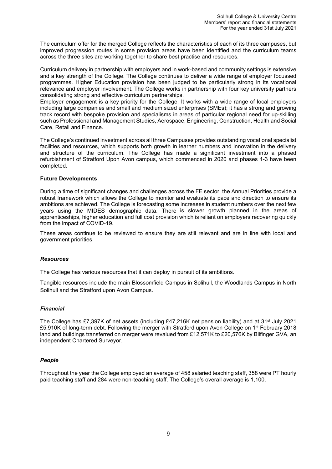The curriculum offer for the merged College reflects the characteristics of each of its three campuses, but improved progression routes in some provision areas have been identified and the curriculum teams across the three sites are working together to share best practise and resources.

Curriculum delivery in partnership with employers and in work-based and community settings is extensive and a key strength of the College. The College continues to deliver a wide range of employer focussed programmes. Higher Education provision has been judged to be particularly strong in its vocational relevance and employer involvement. The College works in partnership with four key university partners consolidating strong and effective curriculum partnerships.

Employer engagement is a key priority for the College. It works with a wide range of local employers including large companies and small and medium sized enterprises (SMEs); it has a strong and growing track record with bespoke provision and specialisms in areas of particular regional need for up-skilling such as Professional and Management Studies, Aerospace, Engineering, Construction, Health and Social Care, Retail and Finance.

The College's continued investment across all three Campuses provides outstanding vocational specialist facilities and resources, which supports both growth in learner numbers and innovation in the delivery and structure of the curriculum. The College has made a significant investment into a phased refurbishment of Stratford Upon Avon campus, which commenced in 2020 and phases 1-3 have been completed.

### **Future Developments**

During a time of significant changes and challenges across the FE sector, the Annual Priorities provide a robust framework which allows the College to monitor and evaluate its pace and direction to ensure its ambitions are achieved. The College is forecasting some increases in student numbers over the next few years using the MIDES demographic data. There is slower growth planned in the areas of apprenticeships, higher education and full cost provision which is reliant on employers recovering quickly from the impact of COVID-19.

These areas continue to be reviewed to ensure they are still relevant and are in line with local and government priorities.

# *Resources*

The College has various resources that it can deploy in pursuit of its ambitions.

Tangible resources include the main Blossomfield Campus in Solihull, the Woodlands Campus in North Solihull and the Stratford upon Avon Campus.

# *Financial*

The College has £7,397K of net assets (including £47,216K net pension liability) and at 31<sup>st</sup> July 2021 £5,910K of long-term debt. Following the merger with Stratford upon Avon College on 1<sup>st</sup> February 2018 land and buildings transferred on merger were revalued from £12,571K to £20,576K by Bilfinger GVA, an independent Chartered Surveyor.

### *People*

Throughout the year the College employed an average of 458 salaried teaching staff, 358 were PT hourly paid teaching staff and 284 were non-teaching staff. The College's overall average is 1,100.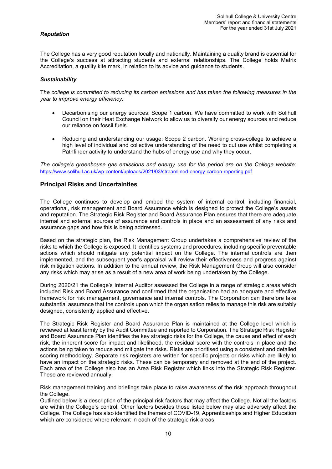# *Reputation*

The College has a very good reputation locally and nationally. Maintaining a quality brand is essential for the College's success at attracting students and external relationships. The College holds Matrix Accreditation, a quality kite mark, in relation to its advice and guidance to students.

### *Sustainability*

T*he college is committed to reducing its carbon emissions and has taken the following measures in the year to improve energy efficiency:*

- Decarbonising our energy sources: Scope 1 carbon. We have committed to work with Solihull Council on their Heat Exchange Network to allow us to diversify our energy sources and reduce our reliance on fossil fuels.
- Reducing and understanding our usage: Scope 2 carbon. Working cross-college to achieve a high level of individual and collective understanding of the need to cut use whilst completing a Pathfinder activity to understand the hubs of energy use and why they occur.

*The college's greenhouse gas emissions and energy use for the period are on the College website:*  <https://www.solihull.ac.uk/wp-content/uploads/2021/03/streamlined-energy-carbon-reporting.pdf>

# <span id="page-9-0"></span>**Principal Risks and Uncertainties**

The College continues to develop and embed the system of internal control, including financial, operational, risk management and Board Assurance which is designed to protect the College's assets and reputation. The Strategic Risk Register and Board Assurance Plan ensures that there are adequate internal and external sources of assurance and controls in place and an assessment of any risks and assurance gaps and how this is being addressed.

Based on the strategic plan, the Risk Management Group undertakes a comprehensive review of the risks to which the College is exposed. It identifies systems and procedures, including specific preventable actions which should mitigate any potential impact on the College. The internal controls are then implemented, and the subsequent year's appraisal will review their effectiveness and progress against risk mitigation actions. In addition to the annual review, the Risk Management Group will also consider any risks which may arise as a result of a new area of work being undertaken by the College.

During 2020/21 the College's Internal Auditor assessed the College in a range of strategic areas which included Risk and Board Assurance and confirmed that the organisation had an adequate and effective framework for risk management, governance and internal controls. The Corporation can therefore take substantial assurance that the controls upon which the organisation relies to manage this risk are suitably designed, consistently applied and effective.

The Strategic Risk Register and Board Assurance Plan is maintained at the College level which is reviewed at least termly by the Audit Committee and reported to Corporation. The Strategic Risk Register and Board Assurance Plan identifies the key strategic risks for the College, the cause and effect of each risk, the inherent score for impact and likelihood, the residual score with the controls in place and the actions being taken to reduce and mitigate the risks. Risks are prioritised using a consistent and detailed scoring methodology. Separate risk registers are written for specific projects or risks which are likely to have an impact on the strategic risks. These can be temporary and removed at the end of the project. Each area of the College also has an Area Risk Register which links into the Strategic Risk Register. These are reviewed annually.

Risk management training and briefings take place to raise awareness of the risk approach throughout the College.

Outlined below is a description of the principal risk factors that may affect the College. Not all the factors are within the College's control. Other factors besides those listed below may also adversely affect the College. The College has also identified the themes of COVID-19, Apprenticeships and Higher Education which are considered where relevant in each of the strategic risk areas.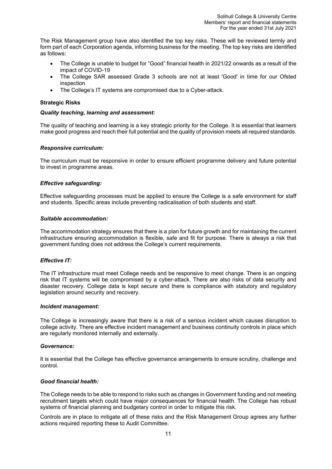The Risk Management group have also identified the top key risks. These will be reviewed termly and form part of each Corporation agenda, informing business for the meeting. The top key risks are identified as follows:

- The College is unable to budget for "Good" financial health in 2021/22 onwards as a result of the impact of COVID-19
- The College SAR assessed Grade 3 schools are not at least 'Good' in time for our Ofsted inspection
- The College's IT systems are compromised due to a Cyber-attack.

# **Strategic Risks**

### *Quality teaching, learning and assessment:*

The quality of teaching and learning is a key strategic priority for the College. It is essential that learners make good progress and reach their full potential and the quality of provision meets all required standards.

# *Responsive curriculum:*

The curriculum must be responsive in order to ensure efficient programme delivery and future potential to invest in programme areas.

# *Effective safeguarding:*

Effective safeguarding processes must be applied to ensure the College is a safe environment for staff and students. Specific areas include preventing radicalisation of both students and staff.

### *Suitable accommodation:*

The accommodation strategy ensures that there is a plan for future growth and for maintaining the current infrastructure ensuring accommodation is flexible, safe and fit for purpose. There is always a risk that government funding does not address the College's current requirements.

### *Effective IT:*

The IT infrastructure must meet College needs and be responsive to meet change. There is an ongoing risk that IT systems will be compromised by a cyber-attack. There are also risks of data security and disaster recovery. College data is kept secure and there is compliance with statutory and regulatory legislation around security and recovery.

### *Incident management:*

The College is increasingly aware that there is a risk of a serious incident which causes disruption to college activity. There are effective incident management and business continuity controls in place which are regularly monitored internally and externally.

### *Governance:*

It is essential that the College has effective governance arrangements to ensure scrutiny, challenge and control.

### *Good financial health:*

The College needs to be able to respond to risks such as changes in Government funding and not meeting recruitment targets which could have major consequences for financial health. The College has robust systems of financial planning and budgetary control in order to mitigate this risk.

Controls are in place to mitigate all of these risks and the Risk Management Group agrees any further actions required reporting these to Audit Committee.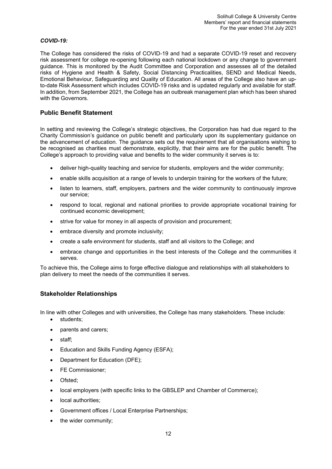# *COVID-19:*

The College has considered the risks of COVID-19 and had a separate COVID-19 reset and recovery risk assessment for college re-opening following each national lockdown or any change to government guidance. This is monitored by the Audit Committee and Corporation and assesses all of the detailed risks of Hygiene and Health & Safety, Social Distancing Practicalities, SEND and Medical Needs, Emotional Behaviour, Safeguarding and Quality of Education. All areas of the College also have an upto-date Risk Assessment which includes COVID-19 risks and is updated regularly and available for staff. In addition, from September 2021, the College has an outbreak management plan which has been shared with the Governors.

# <span id="page-11-0"></span>**Public Benefit Statement**

In setting and reviewing the College's strategic objectives, the Corporation has had due regard to the Charity Commission's guidance on public benefit and particularly upon its supplementary guidance on the advancement of education. The guidance sets out the requirement that all organisations wishing to be recognised as charities must demonstrate, explicitly, that their aims are for the public benefit. The College's approach to providing value and benefits to the wider community it serves is to:

- deliver high-quality teaching and service for students, employers and the wider community;
- enable skills acquisition at a range of levels to underpin training for the workers of the future;
- listen to learners, staff, employers, partners and the wider community to continuously improve our service;
- respond to local, regional and national priorities to provide appropriate vocational training for continued economic development;
- strive for value for money in all aspects of provision and procurement;
- embrace diversity and promote inclusivity;
- create a safe environment for students, staff and all visitors to the College; and
- embrace change and opportunities in the best interests of the College and the communities it serves.

To achieve this, the College aims to forge effective dialogue and relationships with all stakeholders to plan delivery to meet the needs of the communities it serves.

# <span id="page-11-1"></span>**Stakeholder Relationships**

In line with other Colleges and with universities, the College has many stakeholders. These include:

- students;
- parents and carers;
- staff;
- Education and Skills Funding Agency (ESFA);
- Department for Education (DFE);
- FE Commissioner:
- Ofsted;
- local employers (with specific links to the GBSLEP and Chamber of Commerce);
- local authorities:
- Government offices / Local Enterprise Partnerships;
- the wider community;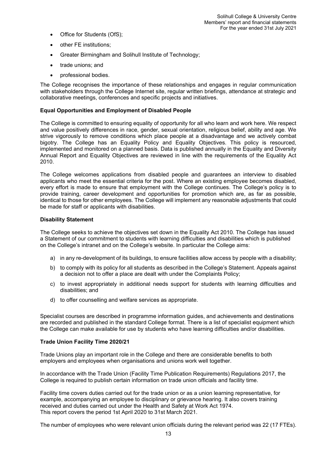- Office for Students (OfS);
- other FE institutions;
- Greater Birmingham and Solihull Institute of Technology;
- trade unions; and
- professional bodies.

The College recognises the importance of these relationships and engages in regular communication with stakeholders through the College Internet site, regular written briefings, attendance at strategic and collaborative meetings, conferences and specific projects and initiatives.

### **Equal Opportunities and Employment of Disabled People**

The College is committed to ensuring equality of opportunity for all who learn and work here. We respect and value positively differences in race, gender, sexual orientation, religious belief, ability and age. We strive vigorously to remove conditions which place people at a disadvantage and we actively combat bigotry. The College has an Equality Policy and Equality Objectives. This policy is resourced, implemented and monitored on a planned basis. Data is published annually in the Equality and Diversity Annual Report and Equality Objectives are reviewed in line with the requirements of the Equality Act 2010.

The College welcomes applications from disabled people and guarantees an interview to disabled applicants who meet the essential criteria for the post. Where an existing employee becomes disabled, every effort is made to ensure that employment with the College continues. The College's policy is to provide training, career development and opportunities for promotion which are, as far as possible, identical to those for other employees. The College will implement any reasonable adjustments that could be made for staff or applicants with disabilities.

### **Disability Statement**

The College seeks to achieve the objectives set down in the Equality Act 2010. The College has issued a Statement of our commitment to students with learning difficulties and disabilities which is published on the College's intranet and on the College's website. In particular the College aims:

- a) in any re-development of its buildings, to ensure facilities allow access by people with a disability;
- b) to comply with its policy for all students as described in the College's Statement. Appeals against a decision not to offer a place are dealt with under the Complaints Policy;
- c) to invest appropriately in additional needs support for students with learning difficulties and disabilities; and
- d) to offer counselling and welfare services as appropriate.

Specialist courses are described in programme information guides, and achievements and destinations are recorded and published in the standard College format. There is a list of specialist equipment which the College can make available for use by students who have learning difficulties and/or disabilities.

### **Trade Union Facility Time 2020/21**

Trade Unions play an important role in the College and there are considerable benefits to both employers and employees when organisations and unions work well together.

In accordance with the Trade Union (Facility Time Publication Requirements) Regulations 2017, the College is required to publish certain information on trade union officials and facility time.

Facility time covers duties carried out for the trade union or as a union learning representative, for example, accompanying an employee to disciplinary or grievance hearing. It also covers training received and duties carried out under the Health and Safety at Work Act 1974. This report covers the period 1st April 2020 to 31st March 2021.

The number of employees who were relevant union officials during the relevant period was 22 (17 FTEs).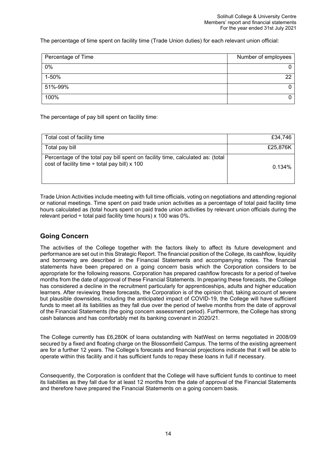The percentage of time spent on facility time (Trade Union duties) for each relevant union official:

| Percentage of Time | Number of employees |
|--------------------|---------------------|
| 0%                 |                     |
| 1-50%              | ົດດ                 |
| 51%-99%            |                     |
| 100%               |                     |

The percentage of pay bill spent on facility time:

| Total cost of facility time                                                                                                          | £34.746  |
|--------------------------------------------------------------------------------------------------------------------------------------|----------|
| Total pay bill                                                                                                                       | £25,876K |
| Percentage of the total pay bill spent on facility time, calculated as: (total<br>cost of facility time $\div$ total pay bill) x 100 | 0.134%   |

Trade Union Activities include meeting with full time officials, voting on negotiations and attending regional or national meetings. Time spent on paid trade union activities as a percentage of total paid facility time hours calculated as (total hours spent on paid trade union activities by relevant union officials during the relevant period  $\div$  total paid facility time hours) x 100 was 0%.

# <span id="page-13-0"></span>**Going Concern**

The activities of the College together with the factors likely to affect its future development and performance are set out in this Strategic Report. The financial position of the College, its cashflow, liquidity and borrowing are described in the Financial Statements and accompanying notes. The financial statements have been prepared on a going concern basis which the Corporation considers to be appropriate for the following reasons. Corporation has prepared cashflow forecasts for a period of twelve months from the date of approval of these Financial Statements. In preparing these forecasts, the College has considered a decline in the recruitment particularly for apprenticeships, adults and higher education learners. After reviewing these forecasts, the Corporation is of the opinion that, taking account of severe but plausible downsides, including the anticipated impact of COVID-19, the College will have sufficient funds to meet all its liabilities as they fall due over the period of twelve months from the date of approval of the Financial Statements (the going concern assessment period). Furthermore, the College has strong cash balances and has comfortably met its banking covenant in 2020/21.

The College currently has £6,280K of loans outstanding with NatWest on terms negotiated in 2008/09 secured by a fixed and floating charge on the Blossomfield Campus. The terms of the existing agreement are for a further 12 years. The College's forecasts and financial projections indicate that it will be able to operate within this facility and it has sufficient funds to repay these loans in full if necessary.

Consequently, the Corporation is confident that the College will have sufficient funds to continue to meet its liabilities as they fall due for at least 12 months from the date of approval of the Financial Statements and therefore have prepared the Financial Statements on a going concern basis.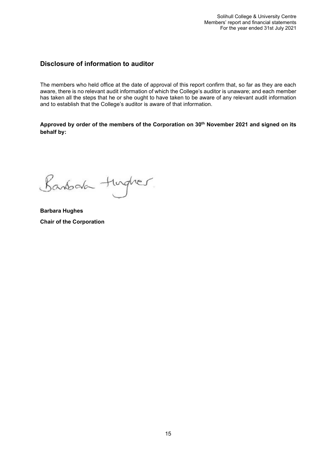# <span id="page-14-0"></span>**Disclosure of information to auditor**

The members who held office at the date of approval of this report confirm that, so far as they are each aware, there is no relevant audit information of which the College's auditor is unaware; and each member has taken all the steps that he or she ought to have taken to be aware of any relevant audit information and to establish that the College's auditor is aware of that information.

Approved by order of the members of the Corporation on 30<sup>th</sup> November 2021 and signed on its **behalf by:** 

Banbara turgher.

<span id="page-14-1"></span>**Barbara Hughes Chair of the Corporation**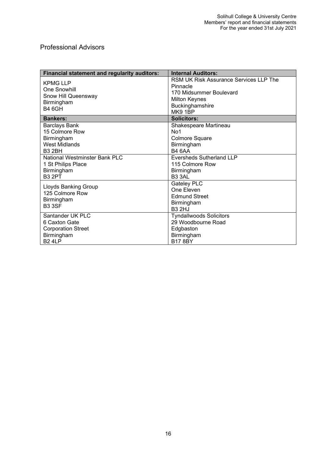# Professional Advisors

| <b>Financial statement and regularity auditors:</b>                                          | <b>Internal Auditors:</b>                                                                                                           |
|----------------------------------------------------------------------------------------------|-------------------------------------------------------------------------------------------------------------------------------------|
| <b>KPMG LLP</b><br>One Snowhill<br>Snow Hill Queensway<br>Birmingham<br><b>B4 6GH</b>        | RSM UK Risk Assurance Services LLP The<br>Pinnacle<br>170 Midsummer Boulevard<br><b>Milton Keynes</b><br>Buckinghamshire<br>MK9 1BP |
| <b>Bankers:</b>                                                                              | <b>Solicitors:</b>                                                                                                                  |
| <b>Barclays Bank</b><br>15 Colmore Row<br>Birmingham<br>West Midlands<br><b>B3 2BH</b>       | Shakespeare Martineau<br>No <sub>1</sub><br>Colmore Square<br>Birmingham<br><b>B4 6AA</b>                                           |
| <b>National Westminster Bank PLC</b><br>1 St Philips Place<br>Birmingham<br><b>B3 2PT</b>    | <b>Eversheds Sutherland LLP</b><br>115 Colmore Row<br>Birmingham<br>B <sub>3</sub> 3AL                                              |
| <b>Lloyds Banking Group</b><br>125 Colmore Row<br>Birmingham<br><b>B33SF</b>                 | <b>Gateley PLC</b><br>One Eleven<br><b>Edmund Street</b><br>Birmingham<br><b>B32HJ</b>                                              |
| Santander UK PLC<br>6 Caxton Gate<br><b>Corporation Street</b><br>Birmingham<br><b>B24LP</b> | <b>Tyndallwoods Solicitors</b><br>29 Woodbourne Road<br>Edgbaston<br>Birmingham<br><b>B17 8BY</b>                                   |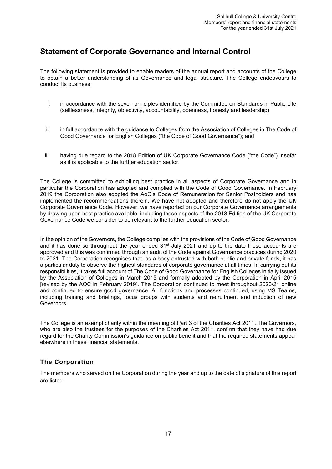# <span id="page-16-0"></span>**Statement of Corporate Governance and Internal Control**

The following statement is provided to enable readers of the annual report and accounts of the College to obtain a better understanding of its Governance and legal structure. The College endeavours to conduct its business:

- i. in accordance with the seven principles identified by the Committee on Standards in Public Life (selflessness, integrity, objectivity, accountability, openness, honesty and leadership);
- ii. in full accordance with the guidance to Colleges from the Association of Colleges in The Code of Good Governance for English Colleges ("the Code of Good Governance"); and
- iii. having due regard to the 2018 Edition of UK Corporate Governance Code ("the Code") insofar as it is applicable to the further education sector.

The College is committed to exhibiting best practice in all aspects of Corporate Governance and in particular the Corporation has adopted and complied with the Code of Good Governance. In February 2019 the Corporation also adopted the AoC's Code of Remuneration for Senior Postholders and has implemented the recommendations therein. We have not adopted and therefore do not apply the UK Corporate Governance Code. However, we have reported on our Corporate Governance arrangements by drawing upon best practice available, including those aspects of the 2018 Edition of the UK Corporate Governance Code we consider to be relevant to the further education sector.

In the opinion of the Governors, the College complies with the provisions of the Code of Good Governance and it has done so throughout the year ended 31<sup>st</sup> July 2021 and up to the date these accounts are approved and this was confirmed through an audit of the Code against Governance practices during 2020 to 2021. The Corporation recognises that, as a body entrusted with both public and private funds, it has a particular duty to observe the highest standards of corporate governance at all times. In carrying out its responsibilities, it takes full account of The Code of Good Governance for English Colleges initially issued by the Association of Colleges in March 2015 and formally adopted by the Corporation in April 2015 [revised by the AOC in February 2019]. The Corporation continued to meet throughout 2020/21 online and continued to ensure good governance. All functions and processes continued, using MS Teams, including training and briefings, focus groups with students and recruitment and induction of new Governors.

The College is an exempt charity within the meaning of Part 3 of the Charities Act 2011. The Governors, who are also the trustees for the purposes of the Charities Act 2011, confirm that they have had due regard for the Charity Commission's guidance on public benefit and that the required statements appear elsewhere in these financial statements.

# **The Corporation**

The members who served on the Corporation during the year and up to the date of signature of this report are listed.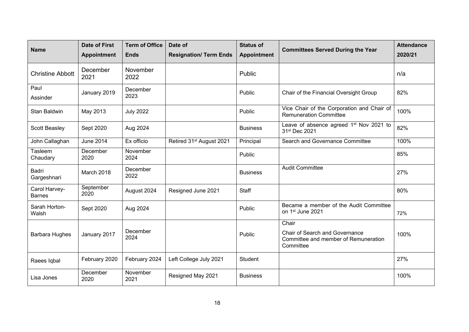| <b>Name</b>                    | <b>Date of First</b><br><b>Appointment</b> | <b>Term of Office</b><br><b>Ends</b> | Date of<br><b>Resignation/ Term Ends</b> | <b>Status of</b><br><b>Appointment</b> | <b>Committees Served During the Year</b>                                                   | <b>Attendance</b><br>2020/21 |
|--------------------------------|--------------------------------------------|--------------------------------------|------------------------------------------|----------------------------------------|--------------------------------------------------------------------------------------------|------------------------------|
| <b>Christine Abbott</b>        | December<br>2021                           | November<br>2022                     |                                          | Public                                 |                                                                                            | n/a                          |
| Paul<br>Assinder               | January 2019                               | December<br>2023                     |                                          | Public                                 | Chair of the Financial Oversight Group                                                     | 82%                          |
| Stan Baldwin                   | May 2013                                   | <b>July 2022</b>                     |                                          | Public                                 | Vice Chair of the Corporation and Chair of<br><b>Remuneration Committee</b>                | 100%                         |
| Scott Beasley                  | Sept 2020                                  | Aug 2024                             |                                          | <b>Business</b>                        | Leave of absence agreed 1 <sup>st</sup> Nov 2021 to<br>31 <sup>st</sup> Dec 2021           | 82%                          |
| John Callaghan                 | <b>June 2014</b>                           | Ex officio                           | Retired 31 <sup>st</sup> August 2021     | Principal                              | Search and Governance Committee                                                            | 100%                         |
| Tasleem<br>Chaudary            | December<br>2020                           | November<br>2024                     |                                          | Public                                 |                                                                                            | 85%                          |
| <b>Badri</b><br>Gargeshnari    | March 2018                                 | December<br>2022                     |                                          | <b>Business</b>                        | <b>Audit Committee</b>                                                                     | 27%                          |
| Carol Harvey-<br><b>Barnes</b> | September<br>2020                          | August 2024                          | Resigned June 2021                       | Staff                                  |                                                                                            | 80%                          |
| Sarah Horton-<br>Walsh         | Sept 2020                                  | Aug 2024                             |                                          | Public                                 | Became a member of the Audit Committee<br>on 1st June 2021                                 | 72%                          |
|                                |                                            |                                      |                                          |                                        | Chair                                                                                      |                              |
| <b>Barbara Hughes</b>          | January 2017                               | December<br>2024                     |                                          | Public                                 | <b>Chair of Search and Governance</b><br>Committee and member of Remuneration<br>Committee | 100%                         |
| Raees Iqbal                    | February 2020                              | February 2024                        | Left College July 2021                   | Student                                |                                                                                            | 27%                          |
| Lisa Jones                     | December<br>2020                           | November<br>2021                     | Resigned May 2021                        | <b>Business</b>                        |                                                                                            | 100%                         |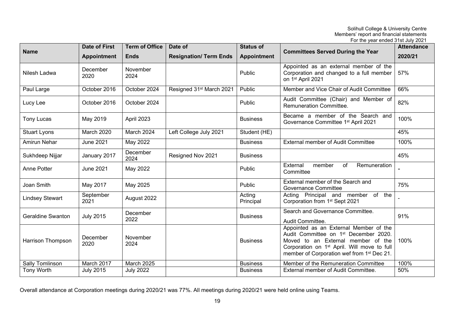|                          |                      |                       |                                      |                     | For the year ended 31st July 2021                                                                                                                                                                                                          |                   |
|--------------------------|----------------------|-----------------------|--------------------------------------|---------------------|--------------------------------------------------------------------------------------------------------------------------------------------------------------------------------------------------------------------------------------------|-------------------|
|                          | <b>Date of First</b> | <b>Term of Office</b> | Date of                              | <b>Status of</b>    | <b>Committees Served During the Year</b>                                                                                                                                                                                                   | <b>Attendance</b> |
| <b>Name</b>              | <b>Appointment</b>   | <b>Ends</b>           | <b>Resignation/ Term Ends</b>        | <b>Appointment</b>  |                                                                                                                                                                                                                                            | 2020/21           |
| Nilesh Ladwa             | December<br>2020     | November<br>2024      |                                      | Public              | Appointed as an external member of the<br>Corporation and changed to a full member<br>on 1st April 2021                                                                                                                                    | 57%               |
| Paul Large               | October 2016         | October 2024          | Resigned 31 <sup>st</sup> March 2021 | Public              | Member and Vice Chair of Audit Committee                                                                                                                                                                                                   | 66%               |
| Lucy Lee                 | October 2016         | October 2024          |                                      | Public              | Audit Committee (Chair) and Member of<br>Remuneration Committee.                                                                                                                                                                           | 82%               |
| <b>Tony Lucas</b>        | May 2019             | April 2023            |                                      | <b>Business</b>     | Became a member of the Search and<br>Governance Committee 1 <sup>st</sup> April 2021                                                                                                                                                       | 100%              |
| Stuart Lyons             | <b>March 2020</b>    | March 2024            | Left College July 2021               | Student (HE)        |                                                                                                                                                                                                                                            | 45%               |
| Amirun Nehar             | <b>June 2021</b>     | May 2022              |                                      | <b>Business</b>     | <b>External member of Audit Committee</b>                                                                                                                                                                                                  | 100%              |
| Sukhdeep Nijjar          | January 2017         | December<br>2024      | Resigned Nov 2021                    | <b>Business</b>     |                                                                                                                                                                                                                                            | 45%               |
| Anne Potter              | <b>June 2021</b>     | May 2022              |                                      | Public              | External<br>member<br>of<br>Remuneration<br>Committee                                                                                                                                                                                      |                   |
| Joan Smith               | May 2017             | May 2025              |                                      | Public              | External member of the Search and<br><b>Governance Committee</b>                                                                                                                                                                           | 75%               |
| <b>Lindsey Stewart</b>   | September<br>2021    | August 2022           |                                      | Acting<br>Principal | Acting Principal and member of the<br>Corporation from 1 <sup>st</sup> Sept 2021                                                                                                                                                           |                   |
| <b>Geraldine Swanton</b> | <b>July 2015</b>     | December<br>2022      |                                      | <b>Business</b>     | Search and Governance Committee.<br>Audit Committee.                                                                                                                                                                                       | 91%               |
| <b>Harrison Thompson</b> | December<br>2020     | November<br>2024      |                                      | <b>Business</b>     | Appointed as an External Member of the<br>Audit Committee on 1 <sup>st</sup> December 2020.<br>Moved to an External member of the<br>Corporation on 1 <sup>st</sup> April. Will move to full<br>member of Corporation wef from 1st Dec 21. | 100%              |
| Sally Tomlinson          | March 2017           | March 2025            |                                      | <b>Business</b>     | Member of the Remuneration Committee                                                                                                                                                                                                       | 100%              |
| Tony Worth               | <b>July 2015</b>     | <b>July 2022</b>      |                                      | <b>Business</b>     | External member of Audit Committee.                                                                                                                                                                                                        | 50%               |

Overall attendance at Corporation meetings during 2020/21 was 77%. All meetings during 2020/21 were held online using Teams.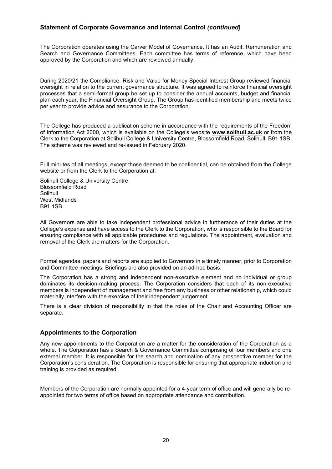The Corporation operates using the Carver Model of Governance. It has an Audit, Remuneration and Search and Governance Committees. Each committee has terms of reference, which have been approved by the Corporation and which are reviewed annually.

During 2020/21 the Compliance, Risk and Value for Money Special Interest Group reviewed financial oversight in relation to the current governance structure. It was agreed to reinforce financial oversight processes that a semi-formal group be set up to consider the annual accounts, budget and financial plan each year, the Financial Oversight Group. The Group has identified membership and meets twice per year to provide advice and assurance to the Corporation.

The College has produced a publication scheme in accordance with the requirements of the Freedom of Information Act 2000, which is available on the College's website **[www.solihull.ac.uk](http://www.solihull.ac.uk/)** or from the Clerk to the Corporation at Solihull College & University Centre, Blossomfield Road, Solihull, B91 1SB. The scheme was reviewed and re-issued in February 2020.

Full minutes of all meetings, except those deemed to be confidential, can be obtained from the College website or from the Clerk to the Corporation at:

Solihull College & University Centre Blossomfield Road Solihull West Midlands B91 1SB

All Governors are able to take independent professional advice in furtherance of their duties at the College's expense and have access to the Clerk to the Corporation, who is responsible to the Board for ensuring compliance with all applicable procedures and regulations. The appointment, evaluation and removal of the Clerk are matters for the Corporation.

Formal agendas, papers and reports are supplied to Governors in a timely manner, prior to Corporation and Committee meetings. Briefings are also provided on an ad-hoc basis.

The Corporation has a strong and independent non-executive element and no individual or group dominates its decision-making process. The Corporation considers that each of its non-executive members is independent of management and free from any business or other relationship, which could materially interfere with the exercise of their independent judgement.

There is a clear division of responsibility in that the roles of the Chair and Accounting Officer are separate.

# <span id="page-19-0"></span>**Appointments to the Corporation**

Any new appointments to the Corporation are a matter for the consideration of the Corporation as a whole. The Corporation has a Search & Governance Committee comprising of four members and one external member. It is responsible for the search and nomination of any prospective member for the Corporation's consideration. The Corporation is responsible for ensuring that appropriate induction and training is provided as required.

Members of the Corporation are normally appointed for a 4-year term of office and will generally be reappointed for two terms of office based on appropriate attendance and contribution.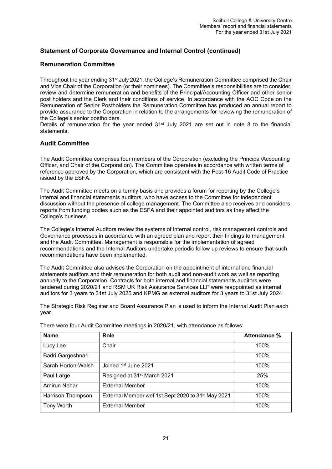# <span id="page-20-0"></span>**Remuneration Committee**

Throughout the year ending 31<sup>st</sup> July 2021, the College's Remuneration Committee comprised the Chair and Vice Chair of the Corporation (or their nominees). The Committee's responsibilities are to consider, review and determine remuneration and benefits of the Principal/Accounting Officer and other senior post holders and the Clerk and their conditions of service. In accordance with the AOC Code on the Remuneration of Senior Postholders the Remuneration Committee has produced an annual report to provide assurance to the Corporation in relation to the arrangements for reviewing the remuneration of the College's senior postholders.

Details of remuneration for the year ended 31<sup>st</sup> July 2021 are set out in note 8 to the financial statements.

# <span id="page-20-1"></span>**Audit Committee**

The Audit Committee comprises four members of the Corporation (excluding the Principal/Accounting Officer, and Chair of the Corporation). The Committee operates in accordance with written terms of reference approved by the Corporation, which are consistent with the Post-16 Audit Code of Practice issued by the ESFA.

The Audit Committee meets on a termly basis and provides a forum for reporting by the College's internal and financial statements auditors, who have access to the Committee for independent discussion without the presence of college management. The Committee also receives and considers reports from funding bodies such as the ESFA and their appointed auditors as they affect the College's business.

The College's Internal Auditors review the systems of internal control, risk management controls and Governance processes in accordance with an agreed plan and report their findings to management and the Audit Committee. Management is responsible for the implementation of agreed recommendations and the Internal Auditors undertake periodic follow up reviews to ensure that such recommendations have been implemented.

The Audit Committee also advises the Corporation on the appointment of internal and financial statements auditors and their remuneration for both audit and non-audit work as well as reporting annually to the Corporation. Contracts for both internal and financial statements auditors were tendered during 2020/21 and RSM UK Risk Assurance Services LLP were reappointed as internal auditors for 3 years to 31st July 2025 and KPMG as external auditors for 3 years to 31st July 2024.

The Strategic Risk Register and Board Assurance Plan is used to inform the Internal Audit Plan each year.

<span id="page-20-2"></span>

| <b>Name</b>        | <b>Role</b>                                                    | Attendance % |
|--------------------|----------------------------------------------------------------|--------------|
| Lucy Lee           | Chair                                                          | 100%         |
| Badri Gargeshnari  |                                                                | 100%         |
| Sarah Horton-Walsh | Joined 1 <sup>st</sup> June 2021                               | 100%         |
| Paul Large         | Resigned at 31 <sup>st</sup> March 2021                        | 25%          |
| Amirun Nehar       | <b>External Member</b>                                         | 100%         |
| Harrison Thompson  | External Member wef 1st Sept 2020 to 31 <sup>st</sup> May 2021 | 100%         |
| Tony Worth         | <b>External Member</b>                                         | 100%         |

There were four Audit Committee meetings in 2020/21, with attendance as follows: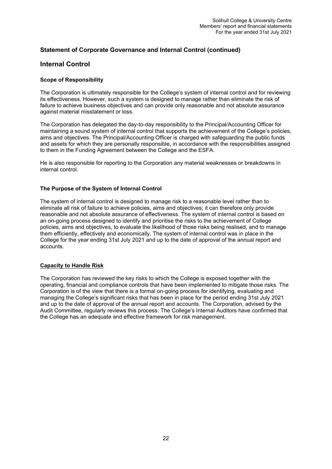# **Internal Control**

# **Scope of Responsibility**

The Corporation is ultimately responsible for the College's system of internal control and for reviewing its effectiveness. However, such a system is designed to manage rather than eliminate the risk of failure to achieve business objectives and can provide only reasonable and not absolute assurance against material misstatement or loss.

The Corporation has delegated the day-to-day responsibility to the Principal/Accounting Officer for maintaining a sound system of internal control that supports the achievement of the College's policies, aims and objectives. The Principal/Accounting Officer is charged with safeguarding the public funds and assets for which they are personally responsible, in accordance with the responsibilities assigned to them in the Funding Agreement between the College and the ESFA.

He is also responsible for reporting to the Corporation any material weaknesses or breakdowns in internal control.

# **The Purpose of the System of Internal Control**

The system of internal control is designed to manage risk to a reasonable level rather than to eliminate all risk of failure to achieve policies, aims and objectives; it can therefore only provide reasonable and not absolute assurance of effectiveness. The system of internal control is based on an on-going process designed to identify and prioritise the risks to the achievement of College policies, aims and objectives, to evaluate the likelihood of those risks being realised, and to manage them efficiently, effectively and economically. The system of internal control was in place in the College for the year ending 31st July 2021 and up to the date of approval of the annual report and accounts.

# **Capacity to Handle Risk**

The Corporation has reviewed the key risks to which the College is exposed together with the operating, financial and compliance controls that have been implemented to mitigate those risks. The Corporation is of the view that there is a formal on-going process for identifying, evaluating and managing the College's significant risks that has been in place for the period ending 31st July 2021 and up to the date of approval of the annual report and accounts. The Corporation, advised by the Audit Committee, regularly reviews this process. The College's Internal Auditors have confirmed that the College has an adequate and effective framework for risk management.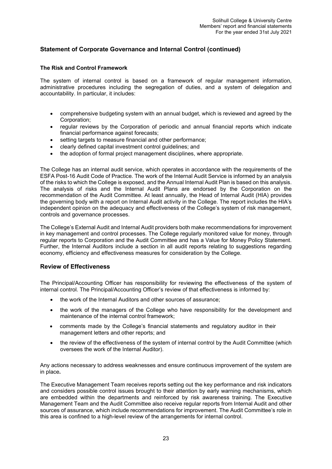# **The Risk and Control Framework**

The system of internal control is based on a framework of regular management information, administrative procedures including the segregation of duties, and a system of delegation and accountability. In particular, it includes:

- comprehensive budgeting system with an annual budget, which is reviewed and agreed by the Corporation;
- regular reviews by the Corporation of periodic and annual financial reports which indicate financial performance against forecasts;
- setting targets to measure financial and other performance;
- clearly defined capital investment control guidelines; and
- the adoption of formal project management disciplines, where appropriate.

The College has an internal audit service, which operates in accordance with the requirements of the ESFA Post-16 Audit Code of Practice. The work of the Internal Audit Service is informed by an analysis of the risks to which the College is exposed, and the Annual Internal Audit Plan is based on this analysis. The analysis of risks and the Internal Audit Plans are endorsed by the Corporation on the recommendation of the Audit Committee. At least annually, the Head of Internal Audit (HIA) provides the governing body with a report on Internal Audit activity in the College. The report includes the HIA's independent opinion on the adequacy and effectiveness of the College's system of risk management, controls and governance processes.

The College's External Audit and Internal Audit providers both make recommendations for improvement in key management and control processes. The College regularly monitored value for money, through regular reports to Corporation and the Audit Committee and has a Value for Money Policy Statement. Further, the Internal Auditors include a section in all audit reports relating to suggestions regarding economy, efficiency and effectiveness measures for consideration by the College.

# **Review of Effectiveness**

The Principal/Accounting Officer has responsibility for reviewing the effectiveness of the system of internal control. The Principal/Accounting Officer's review of that effectiveness is informed by:

- the work of the Internal Auditors and other sources of assurance;
- the work of the managers of the College who have responsibility for the development and maintenance of the internal control framework;
- comments made by the College's financial statements and regulatory auditor in their management letters and other reports; and
- the review of the effectiveness of the system of internal control by the Audit Committee (which oversees the work of the Internal Auditor).

Any actions necessary to address weaknesses and ensure continuous improvement of the system are in place**.** 

The Executive Management Team receives reports setting out the key performance and risk indicators and considers possible control issues brought to their attention by early warning mechanisms, which are embedded within the departments and reinforced by risk awareness training. The Executive Management Team and the Audit Committee also receive regular reports from Internal Audit and other sources of assurance, which include recommendations for improvement. The Audit Committee's role in this area is confined to a high-level review of the arrangements for internal control.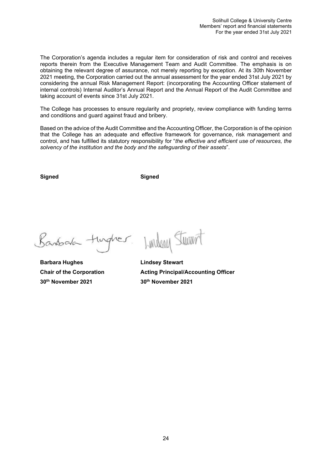The Corporation's agenda includes a regular item for consideration of risk and control and receives reports therein from the Executive Management Team and Audit Committee. The emphasis is on obtaining the relevant degree of assurance, not merely reporting by exception. At its 30th November 2021 meeting, the Corporation carried out the annual assessment for the year ended 31st July 2021 by considering the annual Risk Management Report: (incorporating the Accounting Officer statement of internal controls) Internal Auditor's Annual Report and the Annual Report of the Audit Committee and taking account of events since 31st July 2021.

The College has processes to ensure regularity and propriety, review compliance with funding terms and conditions and guard against fraud and bribery.

Based on the advice of the Audit Committee and the Accounting Officer, the Corporation is of the opinion that the College has an adequate and effective framework for governance, risk management and control, and has fulfilled its statutory responsibility for "*the effective and efficient use of resources, the solvency of the institution and the body and the safeguarding of their assets*".

**Signed Signed**

Banbara turques

**Barbara Hughes Communist Communist Except** Lindsey Stewart **30th November 2021 30th November 2021** 

Lindson Sturant

<span id="page-23-0"></span>**Chair of the Corporation Acting Principal/Accounting Officer**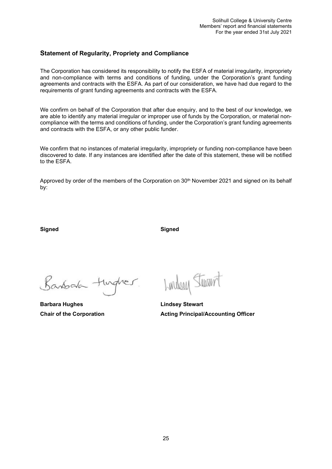# **Statement of Regularity, Propriety and Compliance**

The Corporation has considered its responsibility to notify the ESFA of material irregularity, impropriety and non-compliance with terms and conditions of funding, under the Corporation's grant funding agreements and contracts with the ESFA. As part of our consideration, we have had due regard to the requirements of grant funding agreements and contracts with the ESFA.

We confirm on behalf of the Corporation that after due enquiry, and to the best of our knowledge, we are able to identify any material irregular or improper use of funds by the Corporation, or material noncompliance with the terms and conditions of funding, under the Corporation's grant funding agreements and contracts with the ESFA, or any other public funder.

We confirm that no instances of material irregularity, impropriety or funding non-compliance have been discovered to date. If any instances are identified after the date of this statement, these will be notified to the ESFA.

Approved by order of the members of the Corporation on 30<sup>th</sup> November 2021 and signed on its behalf by:

**Signed Signed**

Banbala tingher.

**Barbara Hughes Lindsey Stewart** 

Lundson Stewart

**Chair of the Corporation Chair Acting Principal/Accounting Officer**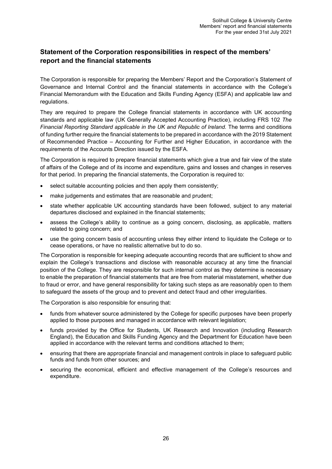# <span id="page-25-0"></span>**Statement of the Corporation responsibilities in respect of the members' report and the financial statements**

The Corporation is responsible for preparing the Members' Report and the Corporation's Statement of Governance and Internal Control and the financial statements in accordance with the College's Financial Memorandum with the Education and Skills Funding Agency (ESFA) and applicable law and regulations.

They are required to prepare the College financial statements in accordance with UK accounting standards and applicable law (UK Generally Accepted Accounting Practice), including FRS 102 *The Financial Reporting Standard applicable in the UK and Republic of Ireland.* The terms and conditions of funding further require the financial statements to be prepared in accordance with the 2019 Statement of Recommended Practice – Accounting for Further and Higher Education, in accordance with the requirements of the Accounts Direction issued by the ESFA.

The Corporation is required to prepare financial statements which give a true and fair view of the state of affairs of the College and of its income and expenditure, gains and losses and changes in reserves for that period. In preparing the financial statements, the Corporation is required to:

- select suitable accounting policies and then apply them consistently;
- make judgements and estimates that are reasonable and prudent;
- state whether applicable UK accounting standards have been followed, subject to any material departures disclosed and explained in the financial statements;
- assess the College's ability to continue as a going concern, disclosing, as applicable, matters related to going concern; and
- use the going concern basis of accounting unless they either intend to liquidate the College or to cease operations, or have no realistic alternative but to do so.

The Corporation is responsible for keeping adequate accounting records that are sufficient to show and explain the College's transactions and disclose with reasonable accuracy at any time the financial position of the College. They are responsible for such internal control as they determine is necessary to enable the preparation of financial statements that are free from material misstatement, whether due to fraud or error, and have general responsibility for taking such steps as are reasonably open to them to safeguard the assets of the group and to prevent and detect fraud and other irregularities.

The Corporation is also responsible for ensuring that:

- funds from whatever source administered by the College for specific purposes have been properly applied to those purposes and managed in accordance with relevant legislation;
- funds provided by the Office for Students, UK Research and Innovation (including Research England), the Education and Skills Funding Agency and the Department for Education have been applied in accordance with the relevant terms and conditions attached to them;
- ensuring that there are appropriate financial and management controls in place to safeguard public funds and funds from other sources; and
- securing the economical, efficient and effective management of the College's resources and expenditure.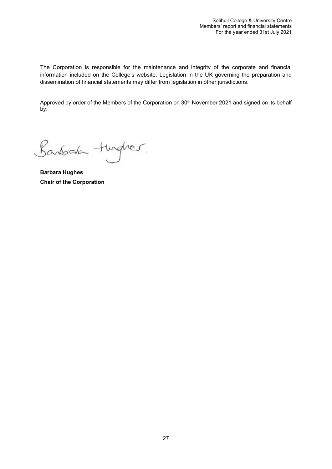The Corporation is responsible for the maintenance and integrity of the corporate and financial information included on the College's website. Legislation in the UK governing the preparation and dissemination of financial statements may differ from legislation in other jurisdictions.

Approved by order of the Members of the Corporation on 30<sup>th</sup> November 2021 and signed on its behalf by:

Banbala tingher

**Barbara Hughes Chair of the Corporation**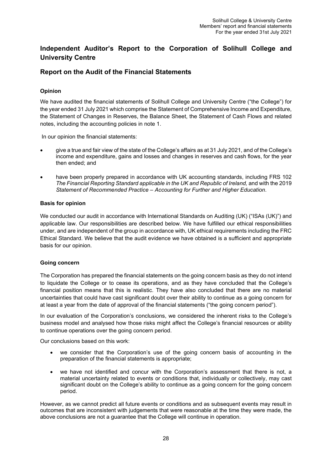# <span id="page-27-0"></span>**Independent Auditor's Report to the Corporation of Solihull College and University Centre**

# <span id="page-27-1"></span>**Report on the Audit of the Financial Statements**

# **Opinion**

We have audited the financial statements of Solihull College and University Centre ("the College") for the year ended 31 July 2021 which comprise the Statement of Comprehensive Income and Expenditure, the Statement of Changes in Reserves, the Balance Sheet, the Statement of Cash Flows and related notes, including the accounting policies in note 1.

In our opinion the financial statements:

- give a true and fair view of the state of the College's affairs as at 31 July 2021, and of the College's income and expenditure, gains and losses and changes in reserves and cash flows, for the year then ended; and
- have been properly prepared in accordance with UK accounting standards, including FRS 102 *The Financial Reporting Standard applicable in the UK and Republic of Ireland,* and with the 2019 *Statement of Recommended Practice – Accounting for Further and Higher Education*.

# **Basis for opinion**

We conducted our audit in accordance with International Standards on Auditing (UK) ("ISAs (UK)") and applicable law. Our responsibilities are described below. We have fulfilled our ethical responsibilities under, and are independent of the group in accordance with, UK ethical requirements including the FRC Ethical Standard. We believe that the audit evidence we have obtained is a sufficient and appropriate basis for our opinion.

# **Going concern**

The Corporation has prepared the financial statements on the going concern basis as they do not intend to liquidate the College or to cease its operations, and as they have concluded that the College's financial position means that this is realistic. They have also concluded that there are no material uncertainties that could have cast significant doubt over their ability to continue as a going concern for at least a year from the date of approval of the financial statements ("the going concern period").

In our evaluation of the Corporation's conclusions, we considered the inherent risks to the College's business model and analysed how those risks might affect the College's financial resources or ability to continue operations over the going concern period.

Our conclusions based on this work:

- we consider that the Corporation's use of the going concern basis of accounting in the preparation of the financial statements is appropriate;
- we have not identified and concur with the Corporation's assessment that there is not, a material uncertainty related to events or conditions that, individually or collectively, may cast significant doubt on the College's ability to continue as a going concern for the going concern period.

However, as we cannot predict all future events or conditions and as subsequent events may result in outcomes that are inconsistent with judgements that were reasonable at the time they were made, the above conclusions are not a guarantee that the College will continue in operation.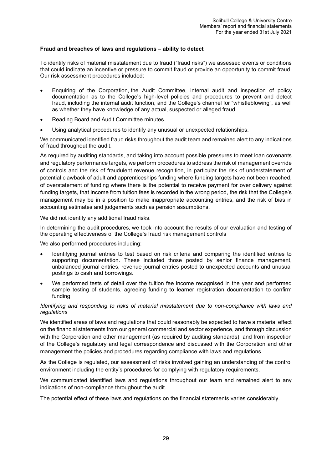# **Fraud and breaches of laws and regulations – ability to detect**

To identify risks of material misstatement due to fraud ("fraud risks") we assessed events or conditions that could indicate an incentive or pressure to commit fraud or provide an opportunity to commit fraud. Our risk assessment procedures included:

- Enquiring of the Corporation, the Audit Committee, internal audit and inspection of policy documentation as to the College's high-level policies and procedures to prevent and detect fraud, including the internal audit function, and the College's channel for "whistleblowing", as well as whether they have knowledge of any actual, suspected or alleged fraud.
- Reading Board and Audit Committee minutes.
- Using analytical procedures to identify any unusual or unexpected relationships.

We communicated identified fraud risks throughout the audit team and remained alert to any indications of fraud throughout the audit.

As required by auditing standards, and taking into account possible pressures to meet loan covenants and regulatory performance targets, we perform procedures to address the risk of management override of controls and the risk of fraudulent revenue recognition, in particular the risk of understatement of potential clawback of adult and apprenticeships funding where funding targets have not been reached, of overstatement of funding where there is the potential to receive payment for over delivery against funding targets, that income from tuition fees is recorded in the wrong period, the risk that the College's management may be in a position to make inappropriate accounting entries, and the risk of bias in accounting estimates and judgements such as pension assumptions.

We did not identify any additional fraud risks.

In determining the audit procedures, we took into account the results of our evaluation and testing of the operating effectiveness of the College's fraud risk management controls

We also performed procedures including:

- Identifying journal entries to test based on risk criteria and comparing the identified entries to supporting documentation. These included those posted by senior finance management, unbalanced journal entries, revenue journal entries posted to unexpected accounts and unusual postings to cash and borrowings.
- We performed tests of detail over the tuition fee income recognised in the year and performed sample testing of students, agreeing funding to learner registration documentation to confirm funding.

# *Identifying and responding to risks of material misstatement due to non-compliance with laws and regulations*

We identified areas of laws and regulations that could reasonably be expected to have a material effect on the financial statements from our general commercial and sector experience, and through discussion with the Corporation and other management (as required by auditing standards), and from inspection of the College's regulatory and legal correspondence and discussed with the Corporation and other management the policies and procedures regarding compliance with laws and regulations.

As the College is regulated, our assessment of risks involved gaining an understanding of the control environment including the entity's procedures for complying with regulatory requirements.

We communicated identified laws and regulations throughout our team and remained alert to any indications of non-compliance throughout the audit.

The potential effect of these laws and regulations on the financial statements varies considerably.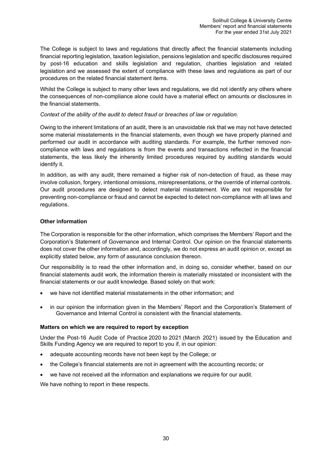The College is subject to laws and regulations that directly affect the financial statements including financial reporting legislation, taxation legislation, pensions legislation and specific disclosures required by post-16 education and skills legislation and regulation, charities legislation and related legislation and we assessed the extent of compliance with these laws and regulations as part of our procedures on the related financial statement items.

Whilst the College is subject to many other laws and regulations, we did not identify any others where the consequences of non-compliance alone could have a material effect on amounts or disclosures in the financial statements.

# *Context of the ability of the audit to detect fraud or breaches of law or regulation.*

Owing to the inherent limitations of an audit, there is an unavoidable risk that we may not have detected some material misstatements in the financial statements, even though we have properly planned and performed our audit in accordance with auditing standards. For example, the further removed noncompliance with laws and regulations is from the events and transactions reflected in the financial statements, the less likely the inherently limited procedures required by auditing standards would identify it.

In addition, as with any audit, there remained a higher risk of non-detection of fraud, as these may involve collusion, forgery, intentional omissions, misrepresentations, or the override of internal controls. Our audit procedures are designed to detect material misstatement. We are not responsible for preventing non-compliance or fraud and cannot be expected to detect non-compliance with all laws and regulations.

# **Other information**

The Corporation is responsible for the other information, which comprises the Members' Report and the Corporation's Statement of Governance and Internal Control. Our opinion on the financial statements does not cover the other information and, accordingly, we do not express an audit opinion or, except as explicitly stated below, any form of assurance conclusion thereon.

Our responsibility is to read the other information and, in doing so, consider whether, based on our financial statements audit work, the information therein is materially misstated or inconsistent with the financial statements or our audit knowledge. Based solely on that work:

- we have not identified material misstatements in the other information; and
- in our opinion the information given in the Members' Report and the Corporation's Statement of Governance and Internal Control is consistent with the financial statements.

# **Matters on which we are required to report by exception**

Under the Post-16 Audit Code of Practice 2020 to 2021 (March 2021) issued by the Education and Skills Funding Agency we are required to report to you if, in our opinion:

- adequate accounting records have not been kept by the College; or
- the College's financial statements are not in agreement with the accounting records; or
- we have not received all the information and explanations we require for our audit.

We have nothing to report in these respects.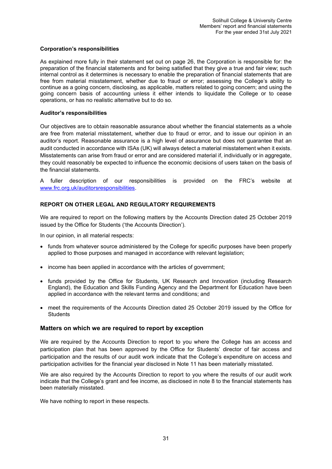# **Corporation's responsibilities**

As explained more fully in their statement set out on page 26, the Corporation is responsible for: the preparation of the financial statements and for being satisfied that they give a true and fair view; such internal control as it determines is necessary to enable the preparation of financial statements that are free from material misstatement, whether due to fraud or error; assessing the College's ability to continue as a going concern, disclosing, as applicable, matters related to going concern; and using the going concern basis of accounting unless it either intends to liquidate the College or to cease operations, or has no realistic alternative but to do so.

### **Auditor's responsibilities**

Our objectives are to obtain reasonable assurance about whether the financial statements as a whole are free from material misstatement, whether due to fraud or error, and to issue our opinion in an auditor's report. Reasonable assurance is a high level of assurance but does not guarantee that an audit conducted in accordance with ISAs (UK) will always detect a material misstatement when it exists. Misstatements can arise from fraud or error and are considered material if, individually or in aggregate, they could reasonably be expected to influence the economic decisions of users taken on the basis of the financial statements.

A fuller description of our responsibilities is provided on the FRC's website at [www.frc.org.uk/auditorsresponsibilities.](http://www.frc.org.uk/auditorsresponsibilities)

# **REPORT ON OTHER LEGAL AND REGULATORY REQUIREMENTS**

We are required to report on the following matters by the Accounts Direction dated 25 October 2019 issued by the Office for Students ('the Accounts Direction').

In our opinion, in all material respects:

- funds from whatever source administered by the College for specific purposes have been properly applied to those purposes and managed in accordance with relevant legislation;
- income has been applied in accordance with the articles of government;
- funds provided by the Office for Students, UK Research and Innovation (including Research England), the Education and Skills Funding Agency and the Department for Education have been applied in accordance with the relevant terms and conditions; and
- meet the requirements of the Accounts Direction dated 25 October 2019 issued by the Office for **Students**

### **Matters on which we are required to report by exception**

We are required by the Accounts Direction to report to you where the College has an access and participation plan that has been approved by the Office for Students' director of fair access and participation and the results of our audit work indicate that the College's expenditure on access and participation activities for the financial year disclosed in Note 11 has been materially misstated.

We are also required by the Accounts Direction to report to you where the results of our audit work indicate that the College's grant and fee income, as disclosed in note 8 to the financial statements has been materially misstated.

We have nothing to report in these respects.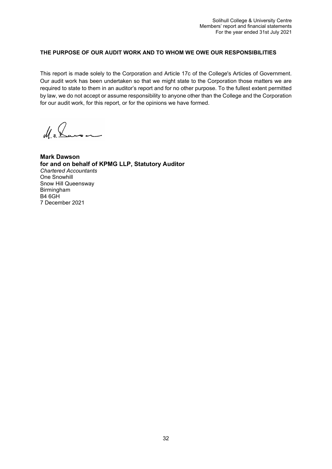# **THE PURPOSE OF OUR AUDIT WORK AND TO WHOM WE OWE OUR RESPONSIBILITIES**

This report is made solely to the Corporation and Article 17c of the College's Articles of Government. Our audit work has been undertaken so that we might state to the Corporation those matters we are required to state to them in an auditor's report and for no other purpose. To the fullest extent permitted by law, we do not accept or assume responsibility to anyone other than the College and the Corporation for our audit work, for this report, or for the opinions we have formed.

M. J. Lausen

**Mark Dawson for and on behalf of KPMG LLP, Statutory Auditor** *Chartered Accountants* One Snowhill Snow Hill Queensway Birmingham B4 6GH 7 December 2021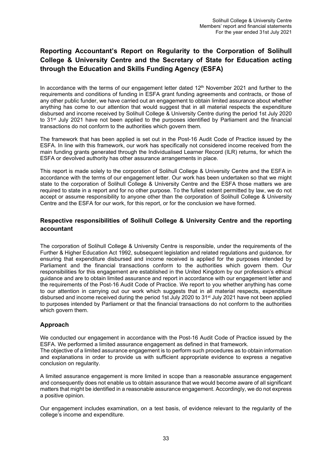# <span id="page-32-0"></span>**Reporting Accountant's Report on Regularity to the Corporation of Solihull College & University Centre and the Secretary of State for Education acting through the Education and Skills Funding Agency (ESFA)**

In accordance with the terms of our engagement letter dated 12<sup>th</sup> November 2021 and further to the requirements and conditions of funding in ESFA grant funding agreements and contracts, or those of any other public funder, we have carried out an engagement to obtain limited assurance about whether anything has come to our attention that would suggest that in all material respects the expenditure disbursed and income received by Solihull College & University Centre during the period 1st July 2020 to 31<sup>st</sup> July 2021 have not been applied to the purposes identified by Parliament and the financial transactions do not conform to the authorities which govern them.

The framework that has been applied is set out in the Post-16 Audit Code of Practice issued by the ESFA. In line with this framework, our work has specifically not considered income received from the main funding grants generated through the Individualised Learner Record (ILR) returns, for which the ESFA or devolved authority has other assurance arrangements in place.

This report is made solely to the corporation of Solihull College & University Centre and the ESFA in accordance with the terms of our engagement letter. Our work has been undertaken so that we might state to the corporation of Solihull College & University Centre and the ESFA those matters we are required to state in a report and for no other purpose. To the fullest extent permitted by law, we do not accept or assume responsibility to anyone other than the corporation of Solihull College & University Centre and the ESFA for our work, for this report, or for the conclusion we have formed.

# **Respective responsibilities of Solihull College & University Centre and the reporting accountant**

The corporation of Solihull College & University Centre is responsible, under the requirements of the Further & Higher Education Act 1992, subsequent legislation and related regulations and guidance, for ensuring that expenditure disbursed and income received is applied for the purposes intended by Parliament and the financial transactions conform to the authorities which govern them. Our responsibilities for this engagement are established in the United Kingdom by our profession's ethical guidance and are to obtain limited assurance and report in accordance with our engagement letter and the requirements of the Post-16 Audit Code of Practice. We report to you whether anything has come to our attention in carrying out our work which suggests that in all material respects, expenditure disbursed and income received during the period 1st July 2020 to 31st July 2021 have not been applied to purposes intended by Parliament or that the financial transactions do not conform to the authorities which govern them.

# **Approach**

We conducted our engagement in accordance with the Post-16 Audit Code of Practice issued by the ESFA. We performed a limited assurance engagement as defined in that framework. The objective of a limited assurance engagement is to perform such procedures as to obtain information and explanations in order to provide us with sufficient appropriate evidence to express a negative conclusion on regularity.

A limited assurance engagement is more limited in scope than a reasonable assurance engagement and consequently does not enable us to obtain assurance that we would become aware of all significant matters that might be identified in a reasonable assurance engagement. Accordingly, we do not express a positive opinion.

Our engagement includes examination, on a test basis, of evidence relevant to the regularity of the college's income and expenditure.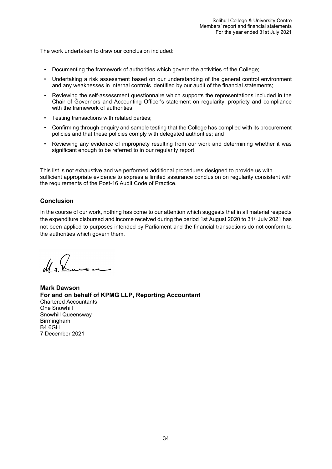The work undertaken to draw our conclusion included:

- Documenting the framework of authorities which govern the activities of the College;
- Undertaking a risk assessment based on our understanding of the general control environment and any weaknesses in internal controls identified by our audit of the financial statements;
- Reviewing the self-assessment questionnaire which supports the representations included in the Chair of Governors and Accounting Officer's statement on regularity, propriety and compliance with the framework of authorities;
- Testing transactions with related parties;
- Confirming through enquiry and sample testing that the College has complied with its procurement policies and that these policies comply with delegated authorities; and
- Reviewing any evidence of impropriety resulting from our work and determining whether it was significant enough to be referred to in our regularity report.

This list is not exhaustive and we performed additional procedures designed to provide us with sufficient appropriate evidence to express a limited assurance conclusion on regularity consistent with the requirements of the Post-16 Audit Code of Practice.

# **Conclusion**

In the course of our work, nothing has come to our attention which suggests that in all material respects the expenditure disbursed and income received during the period 1st August 2020 to 31<sup>st</sup> July 2021 has not been applied to purposes intended by Parliament and the financial transactions do not conform to the authorities which govern them.

**Mark Dawson For and on behalf of KPMG LLP, Reporting Accountant** Chartered Accountants One Snowhill Snowhill Queensway Birmingham  $B4$  6GH 7 December 2021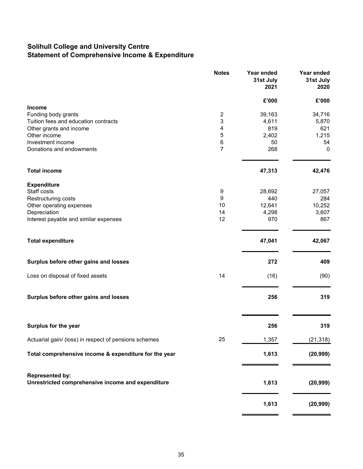# **Solihull College and University Centre Statement of Comprehensive Income & Expenditure**

|                                                                             | <b>Notes</b>   | Year ended<br>31st July<br>2021 | Year ended<br>31st July<br>2020 |
|-----------------------------------------------------------------------------|----------------|---------------------------------|---------------------------------|
|                                                                             |                | £'000                           | £'000                           |
| <b>Income</b><br>Funding body grants                                        | $\overline{c}$ | 39,163                          | 34,716                          |
| Tuition fees and education contracts                                        | 3              | 4,611                           | 5,870                           |
| Other grants and income                                                     | 4              | 819                             | 621                             |
| Other income                                                                | 5              | 2,402                           | 1,215                           |
| Investment income                                                           | 6              | 50                              | 54                              |
| Donations and endowments                                                    | 7              | 268                             | 0                               |
| <b>Total income</b>                                                         |                | 47,313                          | 42,476                          |
| <b>Expenditure</b><br>Staff costs                                           |                |                                 |                                 |
| Restructuring costs                                                         | 9<br>9         | 28,692<br>440                   | 27,057<br>284                   |
| Other operating expenses                                                    | 10             | 12,641                          | 10,252                          |
| Depreciation                                                                | 14             | 4,298                           | 3,607                           |
| Interest payable and similar expenses                                       | 12             | 970                             | 867                             |
| <b>Total expenditure</b>                                                    |                | 47,041                          | 42,067                          |
| Surplus before other gains and losses                                       |                | 272                             | 409                             |
| Loss on disposal of fixed assets                                            | 14             | (16)                            | (90)                            |
| Surplus before other gains and losses                                       |                | 256                             | 319                             |
| Surplus for the year                                                        |                | 256                             | 319                             |
| Actuarial gain/ (loss) in respect of pensions schemes                       | 25             | 1,357                           | (21, 318)                       |
| Total comprehensive income & expenditure for the year                       |                | 1,613                           | (20, 999)                       |
| <b>Represented by:</b><br>Unrestricted comprehensive income and expenditure |                | 1,613                           | (20, 999)                       |
|                                                                             |                | 1,613                           | (20, 999)                       |

 $\equiv$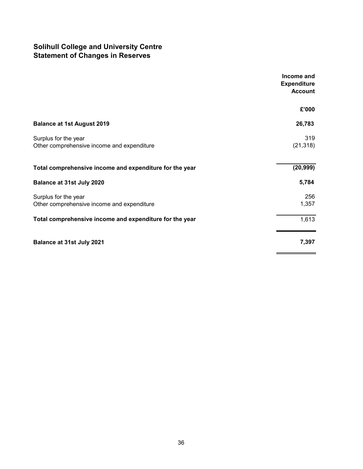# **Solihull College and University Centre Statement of Changes in Reserves**

|                                                         | Income and<br><b>Expenditure</b><br><b>Account</b> |
|---------------------------------------------------------|----------------------------------------------------|
|                                                         | £'000                                              |
| <b>Balance at 1st August 2019</b>                       | 26,783                                             |
| Surplus for the year                                    | 319                                                |
| Other comprehensive income and expenditure              | (21, 318)                                          |
| Total comprehensive income and expenditure for the year | (20, 999)                                          |
| Balance at 31st July 2020                               | 5,784                                              |
| Surplus for the year                                    | 256                                                |
| Other comprehensive income and expenditure              | 1,357                                              |
| Total comprehensive income and expenditure for the year | 1,613                                              |
| <b>Balance at 31st July 2021</b>                        | 7,397                                              |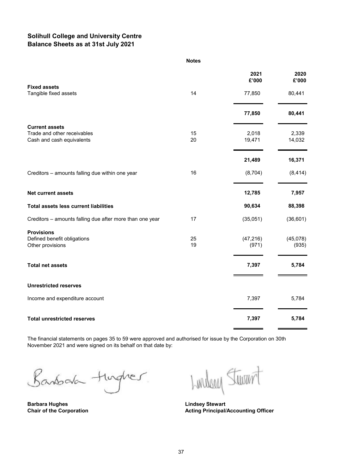# **Solihull College and University Centre Balance Sheets as at 31st July 2021**

#### **Notes**

|                                                                      |          | 2021<br>£'000      | 2020<br>£'000     |
|----------------------------------------------------------------------|----------|--------------------|-------------------|
| <b>Fixed assets</b><br>Tangible fixed assets                         | 14       | 77,850             | 80,441            |
|                                                                      |          | 77,850             | 80,441            |
| <b>Current assets</b><br>Trade and other receivables                 | 15       | 2,018              | 2,339             |
| Cash and cash equivalents                                            | 20       | 19,471             | 14,032            |
|                                                                      |          | 21,489             | 16,371            |
| Creditors - amounts falling due within one year                      | 16       | (8,704)            | (8, 414)          |
| <b>Net current assets</b>                                            |          | 12,785             | 7,957             |
| <b>Total assets less current liabilities</b>                         |          | 90,634             | 88,398            |
| Creditors - amounts falling due after more than one year             | 17       | (35,051)           | (36, 601)         |
| <b>Provisions</b><br>Defined benefit obligations<br>Other provisions | 25<br>19 | (47, 216)<br>(971) | (45,078)<br>(935) |
| <b>Total net assets</b>                                              |          | 7,397              | 5,784             |
| <b>Unrestricted reserves</b>                                         |          |                    |                   |
| Income and expenditure account                                       |          | 7,397              | 5,784             |
| <b>Total unrestricted reserves</b>                                   |          | 7,397              | 5,784             |

The financial statements on pages 35 to 59 were approved and authorised for issue by the Corporation on 30th November 2021 and were signed on its behalf on that date by:

Banbala turgher

**Barbara Hughes Lindsey Stewart**

Lundson Sturent

**Acting Principal/Accounting Officer**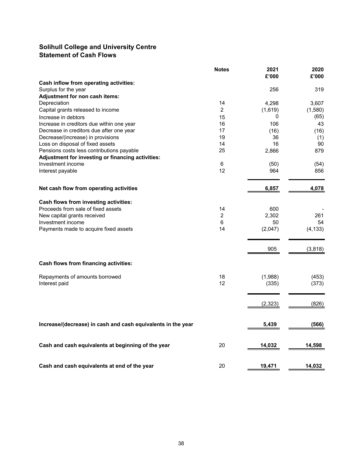# **Solihull College and University Centre Statement of Cash Flows**

|                                                                               | <b>Notes</b>   | 2021<br>£'000 | 2020<br>£'000 |
|-------------------------------------------------------------------------------|----------------|---------------|---------------|
| Cash inflow from operating activities:                                        |                |               |               |
| Surplus for the year                                                          |                | 256           | 319           |
| Adjustment for non cash items:                                                |                |               |               |
| Depreciation                                                                  | 14             | 4,298         | 3,607         |
| Capital grants released to income                                             | $\overline{2}$ | (1,619)       | (1,580)       |
| Increase in debtors                                                           | 15             | 0             | (65)          |
| Increase in creditors due within one year                                     | 16             | 106           | 43            |
| Decrease in creditors due after one year                                      | 17<br>19       | (16)<br>36    | (16)          |
| Decrease/(increase) in provisions                                             | 14             | 16            | (1)<br>90     |
| Loss on disposal of fixed assets<br>Pensions costs less contributions payable | 25             | 2,866         | 879           |
| Adjustment for investing or financing activities:                             |                |               |               |
| Investment income                                                             | 6              | (50)          | (54)          |
| Interest payable                                                              | 12             | 964           | 856           |
|                                                                               |                |               |               |
| Net cash flow from operating activities                                       |                | 6,857         | 4,078         |
| Cash flows from investing activities:                                         |                |               |               |
| Proceeds from sale of fixed assets                                            | 14             | 600           |               |
| New capital grants received                                                   | 2              | 2,302         | 261           |
| Investment income                                                             | 6              | 50            | 54            |
| Payments made to acquire fixed assets                                         | 14             | (2,047)       | (4, 133)      |
|                                                                               |                | 905           | (3,818)       |
|                                                                               |                |               |               |
| Cash flows from financing activities:                                         |                |               |               |
| Repayments of amounts borrowed                                                | 18             | (1,988)       | (453)         |
| Interest paid                                                                 | 12             | (335)         | (373)         |
|                                                                               |                | (2, 323)      | (826)         |
|                                                                               |                |               |               |
| Increase/(decrease) in cash and cash equivalents in the year                  |                | 5,439         | (566)         |
| Cash and cash equivalents at beginning of the year                            | 20             | 14,032        | 14,598        |
| Cash and cash equivalents at end of the year                                  | 20             | 19,471        | 14,032        |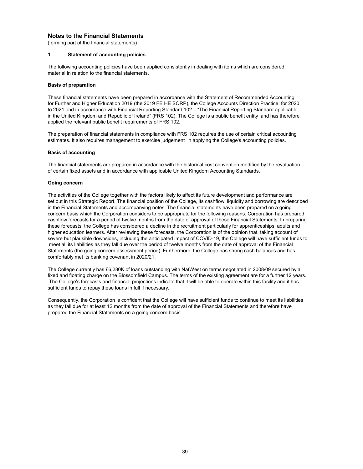### **Notes to the Financial Statements**

(forming part of the financial statements)

# **1 Statement of accounting policies**

The following accounting policies have been applied consistently in dealing with items which are considered material in relation to the financial statements.

#### **Basis of preparation**

These financial statements have been prepared in accordance with the Statement of Recommended Accounting for Further and Higher Education 2019 (the 2019 FE HE SORP), the College Accounts Direction Practice: for 2020 to 2021 and in accordance with Financial Reporting Standard 102 – "The Financial Reporting Standard applicable in the United Kingdom and Republic of Ireland" (FRS 102). The College is a public benefit entity and has therefore applied the relevant public benefit requirements of FRS 102.

The preparation of financial statements in compliance with FRS 102 requires the use of certain critical accounting estimates. It also requires management to exercise judgement in applying the College's accounting policies.

#### **Basis of accounting**

The financial statements are prepared in accordance with the historical cost convention modified by the revaluation of certain fixed assets and in accordance with applicable United Kingdom Accounting Standards.

#### **Going concern**

The activities of the College together with the factors likely to affect its future development and performance are set out in this Strategic Report. The financial position of the College, its cashflow, liquidity and borrowing are described in the Financial Statements and accompanying notes. The financial statements have been prepared on a going concern basis which the Corporation considers to be appropriate for the following reasons. Corporation has prepared cashflow forecasts for a period of twelve months from the date of approval of these Financial Statements. In preparing these forecasts, the College has considered a decline in the recruitment particularly for apprenticeships, adults and higher education learners. After reviewing these forecasts, the Corporation is of the opinion that, taking account of severe but plausible downsides, including the anticipated impact of COVID-19, the College will have sufficient funds to meet all its liabilities as they fall due over the period of twelve months from the date of approval of the Financial Statements (the going concern assessment period). Furthermore, the College has strong cash balances and has comfortably met its banking covenant in 2020/21.

The College currently has £6,280K of loans outstanding with NatWest on terms negotiated in 2008/09 secured by a fixed and floating charge on the Blossomfield Campus. The terms of the existing agreement are for a further 12 years. The College's forecasts and financial projections indicate that it will be able to operate within this facility and it has sufficient funds to repay these loans in full if necessary.

Consequently, the Corporation is confident that the College will have sufficient funds to continue to meet its liabilities as they fall due for at least 12 months from the date of approval of the Financial Statements and therefore have prepared the Financial Statements on a going concern basis.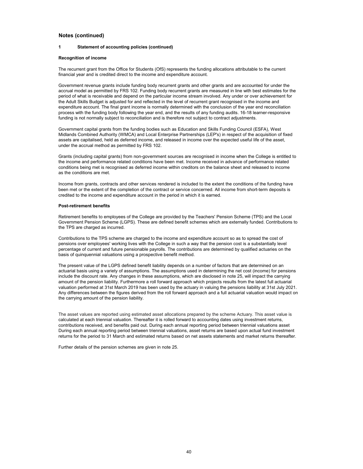#### **1 Statement of accounting policies (continued)**

#### **Recognition of income**

The recurrent grant from the Office for Students (OfS) represents the funding allocations attributable to the current financial year and is credited direct to the income and expenditure account.

Government revenue grants include funding body recurrent grants and other grants and are accounted for under the accrual model as permitted by FRS 102. Funding body recurrent grants are measured in line with best estimates for the period of what is receivable and depend on the particular income stream involved. Any under or over achievement for the Adult Skills Budget is adjusted for and reflected in the level of recurrent grant recognised in the income and expenditure account. The final grant income is normally determined with the conclusion of the year end reconciliation process with the funding body following the year end, and the results of any funding audits. 16-18 learner-responsive funding is not normally subject to reconciliation and is therefore not subject to contract adjustments.

Government capital grants from the funding bodies such as Education and Skills Funding Council (ESFA), West Midlands Combined Authority (WMCA) and Local Enterprise Partnerships (LEP's) in respect of the acquisition of fixed assets are capitalised, held as deferred income, and released in income over the expected useful life of the asset, under the accrual method as permitted by FRS 102.

Grants (including capital grants) from non-government sources are recognised in income when the College is entitled to the income and performance related conditions have been met. Income received in advance of performance related conditions being met is recognised as deferred income within creditors on the balance sheet and released to income as the conditions are met.

Income from grants, contracts and other services rendered is included to the extent the conditions of the funding have been met or the extent of the completion of the contract or service concerned. All income from short-term deposits is credited to the income and expenditure account in the period in which it is earned.

#### **Post-retirement benefits**

Retirement benefits to employees of the College are provided by the Teachers' Pension Scheme (TPS) and the Local Government Pension Scheme (LGPS). These are defined benefit schemes which are externally funded. Contributions to the TPS are charged as incurred.

Contributions to the TPS scheme are charged to the income and expenditure account so as to spread the cost of pensions over employees' working lives with the College in such a way that the pension cost is a substantially level percentage of current and future pensionable payrolls. The contributions are determined by qualified actuaries on the basis of quinquennial valuations using a prospective benefit method.

The present value of the LGPS defined benefit liability depends on a number of factors that are determined on an actuarial basis using a variety of assumptions. The assumptions used in determining the net cost (income) for pensions include the discount rate. Any changes in these assumptions, which are disclosed in note 25, will impact the carrying amount of the pension liability. Furthermore a roll forward approach which projects results from the latest full actuarial valuation performed at 31st March 2019 has been used by the actuary in valuing the pensions liability at 31st July 2021. Any differences between the figures derived from the roll forward approach and a full actuarial valuation would impact on the carrying amount of the pension liability.

The asset values are reported using estimated asset allocations prepared by the scheme Actuary. This asset value is calculated at each triennial valuation. Thereafter it is rolled forward to accounting dates using investment returns, contributions received, and benefits paid out. During each annual reporting period between triennial valuations asset During each annual reporting period between triennial valuations, asset returns are based upon actual fund investment returns for the period to 31 March and estimated returns based on net assets statements and market returns thereafter.

Further details of the pension schemes are given in note 25.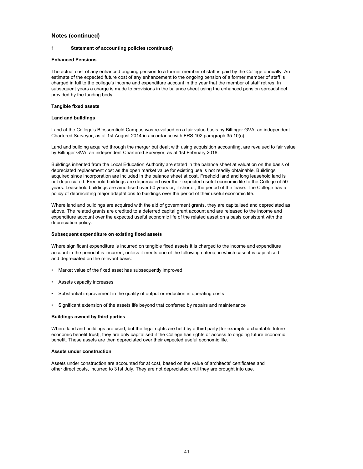#### **1 Statement of accounting policies (continued)**

#### **Enhanced Pensions**

The actual cost of any enhanced ongoing pension to a former member of staff is paid by the College annually. An estimate of the expected future cost of any enhancement to the ongoing pension of a former member of staff is charged in full to the college's income and expenditure account in the year that the member of staff retires. In subsequent years a charge is made to provisions in the balance sheet using the enhanced pension spreadsheet provided by the funding body.

#### **Tangible fixed assets**

#### **Land and buildings**

Land at the College's Blossomfield Campus was re-valued on a fair value basis by Bilfinger GVA, an independent Chartered Surveyor, as at 1st August 2014 in accordance with FRS 102 paragraph 35 10(c).

Land and building acquired through the merger but dealt with using acquisition accounting, are revalued to fair value by Bilfinger GVA, an independent Chartered Surveyor, as at 1st February 2018.

Buildings inherited from the Local Education Authority are stated in the balance sheet at valuation on the basis of depreciated replacement cost as the open market value for existing use is not readily obtainable. Buildings acquired since incorporation are included in the balance sheet at cost. Freehold land and long leasehold land is not depreciated. Freehold buildings are depreciated over their expected useful economic life to the College of 50 years. Leasehold buildings are amortised over 50 years or, if shorter, the period of the lease. The College has a policy of depreciating major adaptations to buildings over the period of their useful economic life.

Where land and buildings are acquired with the aid of government grants, they are capitalised and depreciated as above. The related grants are credited to a deferred capital grant account and are released to the income and expenditure account over the expected useful economic life of the related asset on a basis consistent with the depreciation policy.

#### **Subsequent expenditure on existing fixed assets**

Where significant expenditure is incurred on tangible fixed assets it is charged to the income and expenditure account in the period it is incurred, unless it meets one of the following criteria, in which case it is capitalised and depreciated on the relevant basis:

- Market value of the fixed asset has subsequently improved
- Assets capacity increases
- Substantial improvement in the quality of output or reduction in operating costs
- Significant extension of the assets life beyond that conferred by repairs and maintenance

#### **Buildings owned by third parties**

Where land and buildings are used, but the legal rights are held by a third party [for example a charitable future economic benefit trust], they are only capitalised if the College has rights or access to ongoing future economic benefit. These assets are then depreciated over their expected useful economic life.

#### **Assets under construction**

Assets under construction are accounted for at cost, based on the value of architects' certificates and other direct costs, incurred to 31st July. They are not depreciated until they are brought into use.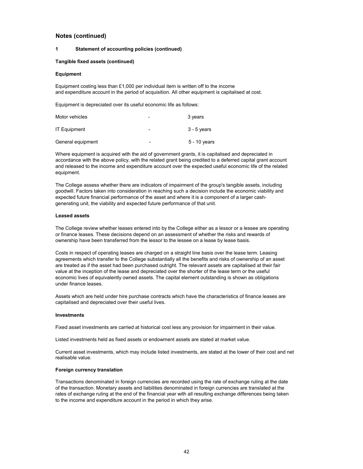#### **1 Statement of accounting policies (continued)**

#### **Tangible fixed assets (continued)**

#### **Equipment**

Equipment costing less than £1,000 per individual item is written off to the income and expenditure account in the period of acquisition. All other equipment is capitalised at cost.

Equipment is depreciated over its useful economic life as follows:

| Motor vehicles      | -              | 3 years       |
|---------------------|----------------|---------------|
| <b>IT Equipment</b> | -              | $3 - 5$ years |
| General equipment   | $\blacksquare$ | 5 - 10 years  |

Where equipment is acquired with the aid of government grants, it is capitalised and depreciated in accordance with the above policy, with the related grant being credited to a deferred capital grant account and released to the income and expenditure account over the expected useful economic life of the related equipment.

The College assess whether there are indicators of impairment of the group's tangible assets, including goodwill. Factors taken into consideration in reaching such a decision include the economic viability and expected future financial performance of the asset and where it is a component of a larger cashgenerating unit, the viability and expected future performance of that unit.

#### **Leased assets**

The College review whether leases entered into by the College either as a lessor or a lessee are operating or finance leases. These decisions depend on an assessment of whether the risks and rewards of ownership have been transferred from the lessor to the lessee on a lease by lease basis.

Costs in respect of operating leases are charged on a straight line basis over the lease term. Leasing agreements which transfer to the College substantially all the benefits and risks of ownership of an asset are treated as if the asset had been purchased outright. The relevant assets are capitalised at their fair value at the inception of the lease and depreciated over the shorter of the lease term or the useful economic lives of equivalently owned assets. The capital element outstanding is shown as obligations under finance leases.

Assets which are held under hire purchase contracts which have the characteristics of finance leases are capitalised and depreciated over their useful lives.

#### **Investments**

Fixed asset investments are carried at historical cost less any provision for impairment in their value.

Listed investments held as fixed assets or endowment assets are stated at market value.

Current asset investments, which may include listed investments, are stated at the lower of their cost and net realisable value.

#### **Foreign currency translation**

Transactions denominated in foreign currencies are recorded using the rate of exchange ruling at the date of the transaction. Monetary assets and liabilities denominated in foreign currencies are translated at the rates of exchange ruling at the end of the financial year with all resulting exchange differences being taken to the income and expenditure account in the period in which they arise.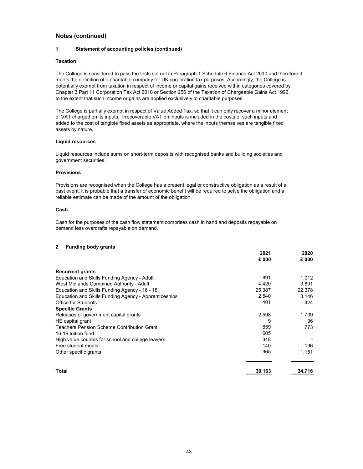#### **1 Statement of accounting policies (continued)**

#### **Taxation**

The College is considered to pass the tests set out in Paragraph 1 Schedule 6 Finance Act 2010 and therefore it meets the definition of a charitable company for UK corporation tax purposes. Accordingly, the College is potentially exempt from taxation in respect of income or capital gains received within categories covered by Chapter 3 Part 11 Corporation Tax Act 2010 or Section 256 of the Taxation of Chargeable Gains Act 1992, to the extent that such income or gains are applied exclusively to charitable purposes.

The College is partially exempt in respect of Value Added Tax, so that it can only recover a minor element of VAT charged on its inputs. Irrecoverable VAT on inputs is included in the costs of such inputs and added to the cost of tangible fixed assets as appropriate, where the inputs themselves are tangible fixed assets by nature.

#### **Liquid resources**

Liquid resources include sums on short-term deposits with recognised banks and building societies and government securities.

#### **Provisions**

Provisions are recognised when the College has a present legal or constructive obligation as a result of a past event, it is probable that a transfer of economic benefit will be required to settle the obligation and a reliable estimate can be made of the amount of the obligation.

#### **Cash**

Cash for the purposes of the cash flow statement comprises cash in hand and deposits repayable on demand less overdrafts repayable on demand.

#### **2 Funding body grants**

|                                                       | 2021   | 2020   |
|-------------------------------------------------------|--------|--------|
|                                                       | £'000  | £'000  |
| <b>Recurrent grants</b>                               |        |        |
| Education and Skills Funding Agency - Adult           | 891    | 1,012  |
| West Midlands Combined Authority - Adult              | 4,420  | 3,891  |
| Education and Skills Funding Agency - 16 - 18         | 25,387 | 22,378 |
| Education and Skills Funding Agency - Apprenticeships | 2,540  | 3,146  |
| <b>Office for Students</b>                            | 401    | 424    |
| <b>Specific Grants</b>                                |        |        |
| Releases of government capital grants                 | 2,598  | 1,709  |
| HE capital grant                                      | 9      | 36     |
| <b>Teachers Pension Scheme Contribution Grant</b>     | 859    | 773    |
| 16-19 tuition fund                                    | 605    |        |
| High value courses for school and college leavers     | 348    |        |
| Free student meals                                    | 140    | 196    |
| Other specific grants                                 | 965    | 1,151  |
| Total                                                 | 39,163 | 34,716 |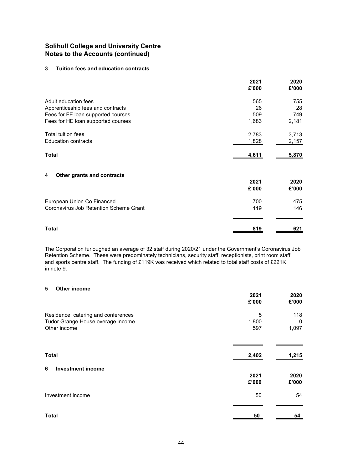# **3 Tuition fees and education contracts**

| 2021<br>£'000 | 2020<br>£'000 |
|---------------|---------------|
| 565           | 755           |
| 26            | 28            |
| 509           | 749           |
| 1,683         | 2,181         |
| 2,783         | 3,713         |
| 1,828         | 2,157         |
| 4,611         | 5,870         |
|               |               |
| 2021<br>£'000 | 2020<br>£'000 |
| 700           | 475           |
| 119           | 146           |
|               | 621           |
|               | 819           |

The Corporation furloughed an average of 32 staff during 2020/21 under the Government's Coronavirus Job Retention Scheme. These were predominately technicians, security staff, receptionists, print room staff and sports centre staff. The funding of £119K was received which related to total staff costs of £221K in note 9.

### **5 Other income**

|                                                                                          | 2021<br>£'000     | 2020<br>£'000     |
|------------------------------------------------------------------------------------------|-------------------|-------------------|
| Residence, catering and conferences<br>Tudor Grange House overage income<br>Other income | 5<br>1,800<br>597 | 118<br>0<br>1,097 |
| <b>Total</b>                                                                             | 2,402             | 1,215             |
| <b>Investment income</b><br>6                                                            | 2021<br>£'000     | 2020<br>£'000     |
| Investment income                                                                        | 50                | 54                |
| <b>Total</b>                                                                             | 50                | 54                |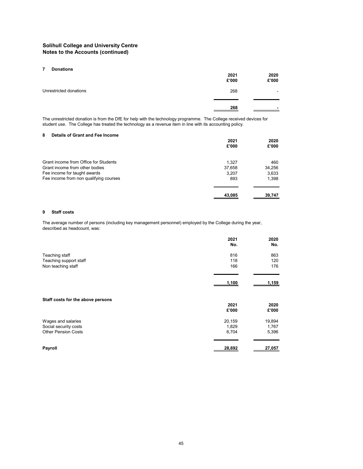#### **7 Donations**

|                        | 2021<br>£'000 | 2020<br>£'000            |
|------------------------|---------------|--------------------------|
| Unrestricted donations | 268           | $\overline{\phantom{0}}$ |
|                        | 268           | $\blacksquare$           |

The unrestricted donation is from the DfE for help with the technology programme. The College received devices for student use. The College has treated the technology as a revenue item in line with its accounting policy.

#### **8 Details of Grant and Fee Income**

|                                        | 2021<br>£'000   | 2020<br>£'000 |
|----------------------------------------|-----------------|---------------|
| Grant income from Office for Students  |                 |               |
| Grant income from other bodies         | 1.327<br>37,658 | 460<br>34,256 |
| Fee income for taught awards           | 3,207           | 3,633         |
| Fee income from non qualifying courses | 893             | 1,398         |
|                                        |                 |               |
|                                        | 43,085          | 39,747        |

#### **9 Staff costs**

The average number of persons (including key management personnel) employed by the College during the year, described as headcount, was:

|                                   | 2021<br>No. | 2020<br>No. |
|-----------------------------------|-------------|-------------|
| Teaching staff                    | 816         | 863         |
| Teaching support staff            | 118         | 120         |
| Non teaching staff                | 166         | 176         |
|                                   |             |             |
|                                   | 1,100       | 1,159       |
| Staff costs for the above persons |             |             |
|                                   | 2021        | 2020        |
|                                   | £'000       | £'000       |
| Wages and salaries                | 20,159      | 19,894      |
| Social security costs             | 1,829       | 1,767       |
| <b>Other Pension Costs</b>        | 6,704       | 5,396       |
|                                   |             |             |
| Payroll                           | 28,692      | 27,057      |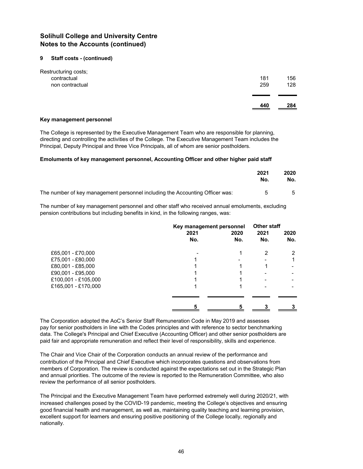### **9 Staff costs - (continued)**

|                      | 440 | 284 |
|----------------------|-----|-----|
|                      |     |     |
| non contractual      | 259 | 128 |
| contractual          | 181 | 156 |
| Restructuring costs; |     |     |

#### **Key management personnel**

The College is represented by the Executive Management Team who are responsible for planning, directing and controlling the activities of the College. The Executive Management Team includes the Principal, Deputy Principal and three Vice Principals, all of whom are senior postholders.

### **Emoluments of key management personnel, Accounting Officer and other higher paid staff**

|                                                                              | 2021<br>No. | 2020<br>No. |
|------------------------------------------------------------------------------|-------------|-------------|
| The number of key management personnel including the Accounting Officer was: |             |             |

The number of key management personnel and other staff who received annual emoluments, excluding pension contributions but including benefits in kind, in the following ranges, was:

|                     | Key management personnel<br>2021<br>2020 |     | <b>Other staff</b><br>2021 | 2020 |
|---------------------|------------------------------------------|-----|----------------------------|------|
|                     | No.                                      | No. | No.                        | No.  |
| £65,001 - £70,000   |                                          |     | 2                          | າ    |
| £75,001 - £80,000   |                                          |     |                            |      |
| £80,001 - £85,000   |                                          |     |                            |      |
| £90,001 - £95,000   |                                          |     |                            |      |
| £100,001 - £105,000 |                                          |     |                            |      |
| £165,001 - £170,000 |                                          |     |                            |      |
|                     |                                          |     |                            |      |
|                     |                                          |     |                            |      |

The Corporation adopted the AoC's Senior Staff Remuneration Code in May 2019 and assesses pay for senior postholders in line with the Codes principles and with reference to sector benchmarking data. The College's Principal and Chief Executive (Accounting Officer) and other senior postholders are paid fair and appropriate remuneration and reflect their level of responsibility, skills and experience.

The Chair and Vice Chair of the Corporation conducts an annual review of the performance and contribution of the Principal and Chief Executive which incorporates questions and observations from members of Corporation. The review is conducted against the expectations set out in the Strategic Plan and annual priorities. The outcome of the review is reported to the Remuneration Committee, who also review the performance of all senior postholders.

The Principal and the Executive Management Team have performed extremely well during 2020/21, with increased challenges posed by the COVID-19 pandemic, meeting the College's objectives and ensuring good financial health and management, as well as, maintaining quality teaching and learning provision, excellent support for learners and ensuring positive positioning of the College locally, regionally and nationally.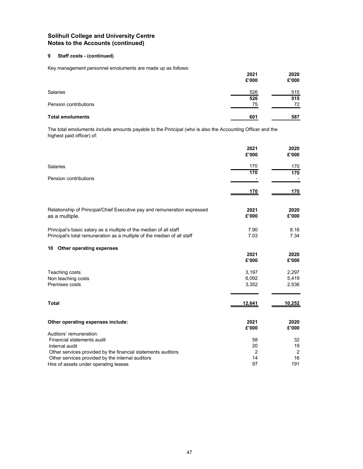# **9 Staff costs - (continued)**

Key management personnel emoluments are made up as follows:

|                         | 2021<br>£'000 | 2020<br>£'000 |
|-------------------------|---------------|---------------|
| Salaries                | 526           | 515           |
|                         | 526           | 515           |
| Pension contributions   | 75            | 72            |
| <b>Total emoluments</b> | 601           | 587           |

The total emoluments include amounts payable to the Principal (who is also the Accounting Officer and the highest paid officer) of:

|                                                                                                                                              | 2021<br>£'000 | 2020<br>£'000  |
|----------------------------------------------------------------------------------------------------------------------------------------------|---------------|----------------|
| <b>Salaries</b>                                                                                                                              | 170           | 170            |
|                                                                                                                                              | 170           | 170            |
| Pension contributions                                                                                                                        |               |                |
|                                                                                                                                              | <u>170</u>    | <u>170</u>     |
| Relationship of Principal/Chief Executive pay and remuneration expressed<br>as a multiple.                                                   | 2021<br>£'000 | 2020<br>£'000  |
| Principal's basic salary as a multiple of the median of all staff<br>Principal's total remuneration as a multiple of the median of all staff | 7.90<br>7.03  | 8.16<br>7.34   |
| Other operating expenses<br>10                                                                                                               |               |                |
|                                                                                                                                              | 2021          | 2020           |
|                                                                                                                                              | £'000         | £'000          |
| Teaching costs                                                                                                                               | 3,197         | 2,297          |
| Non teaching costs                                                                                                                           | 6,092         | 5,419          |
| Premises costs                                                                                                                               | 3,352         | 2,536          |
| <b>Total</b>                                                                                                                                 | 12,641        | 10,252         |
| Other operating expenses include:                                                                                                            | 2021<br>£'000 | 2020<br>£'000  |
| Auditors' remuneration:                                                                                                                      |               |                |
| Financial statements audit                                                                                                                   | 58            | 32             |
| Internal audit                                                                                                                               | 20            | 19             |
| Other services provided by the financial statements auditors                                                                                 | 2             | $\overline{2}$ |
| Other services provided by the internal auditors                                                                                             | 14            | 16             |
| Hire of assets under operating leases                                                                                                        | 97            | 191            |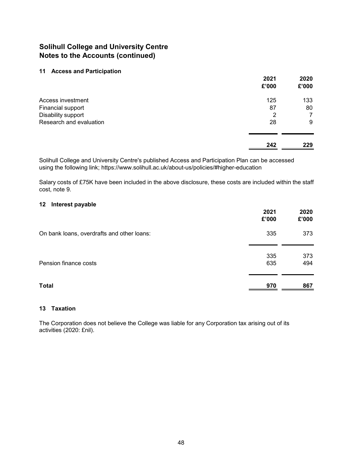# **11 Access and Participation**

|                         | 2021<br>£'000 | 2020<br>£'000 |
|-------------------------|---------------|---------------|
| Access investment       | 125           | 133           |
| Financial support       | 87            | 80            |
| Disability support      | 2             | 7             |
| Research and evaluation | 28            | 9             |
|                         | 242           | 229           |

Solihull College and University Centre's published Access and Participation Plan can be accessed using the following link; https://www.solihull.ac.uk/about-us/policies/#higher-education

Salary costs of £75K have been included in the above disclosure, these costs are included within the staff cost, note 9.

# **12 Interest payable**

|                                            | 2021<br>£'000 | 2020<br>£'000 |
|--------------------------------------------|---------------|---------------|
| On bank loans, overdrafts and other loans: | 335           | 373           |
| Pension finance costs                      | 335<br>635    | 373<br>494    |
| <b>Total</b>                               | 970           | 867           |

# **13 Taxation**

The Corporation does not believe the College was liable for any Corporation tax arising out of its activities (2020: £nil).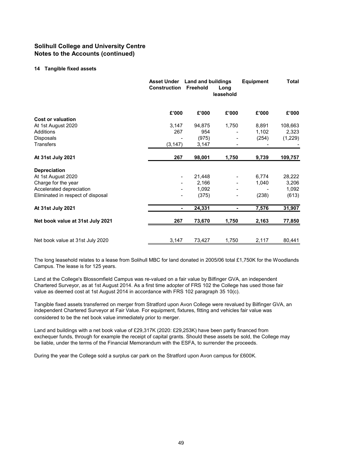### **14 Tangible fixed assets**

|                                   | <b>Asset Under</b><br><b>Construction</b> | <b>Land and buildings</b><br>Freehold | Long<br>leasehold | <b>Equipment</b> | Total   |
|-----------------------------------|-------------------------------------------|---------------------------------------|-------------------|------------------|---------|
|                                   | £'000                                     | £'000                                 | £'000             | £'000            | £'000   |
| <b>Cost or valuation</b>          |                                           |                                       |                   |                  |         |
| At 1st August 2020                | 3,147                                     | 94,875                                | 1,750             | 8,891            | 108,663 |
| <b>Additions</b>                  | 267                                       | 954                                   |                   | 1,102            | 2,323   |
| <b>Disposals</b>                  |                                           | (975)                                 |                   | (254)            | (1,229) |
| <b>Transfers</b>                  | (3, 147)                                  | 3,147                                 |                   |                  |         |
| At 31st July 2021                 | 267                                       | 98,001                                | 1,750             | 9,739            | 109,757 |
| <b>Depreciation</b>               |                                           |                                       |                   |                  |         |
| At 1st August 2020                | $\overline{\phantom{a}}$                  | 21,448                                |                   | 6,774            | 28,222  |
| Charge for the year               |                                           | 2,166                                 |                   | 1,040            | 3,206   |
| Accelerated depreciation          |                                           | 1,092                                 |                   |                  | 1,092   |
| Eliminated in respect of disposal |                                           | (375)                                 |                   | (238)            | (613)   |
| At 31st July 2021                 | $\blacksquare$                            | 24,331                                |                   | 7,576            | 31,907  |
| Net book value at 31st July 2021  | 267                                       | 73,670                                | 1,750             | 2,163            | 77,850  |
|                                   |                                           |                                       |                   |                  |         |
| Net book value at 31st July 2020  | 3,147                                     | 73,427                                | 1,750             | 2,117            | 80,441  |

The long leasehold relates to a lease from Solihull MBC for land donated in 2005/06 total £1,750K for the Woodlands Campus. The lease is for 125 years.

Land at the College's Blossomfield Campus was re-valued on a fair value by Bilfinger GVA, an independent Chartered Surveyor, as at 1st August 2014. As a first time adopter of FRS 102 the College has used those fair value as deemed cost at 1st August 2014 in accordance with FRS 102 paragraph 35 10(c).

Tangible fixed assets transferred on merger from Stratford upon Avon College were revalued by Bilfinger GVA, an independent Chartered Surveyor at Fair Value. For equipment, fixtures, fitting and vehicles fair value was considered to be the net book value immediately prior to merger.

Land and buildings with a net book value of £29,317K (2020: £29,253K) have been partly financed from exchequer funds, through for example the receipt of capital grants. Should these assets be sold, the College may be liable, under the terms of the Financial Memorandum with the ESFA, to surrender the proceeds.

During the year the College sold a surplus car park on the Stratford upon Avon campus for £600K.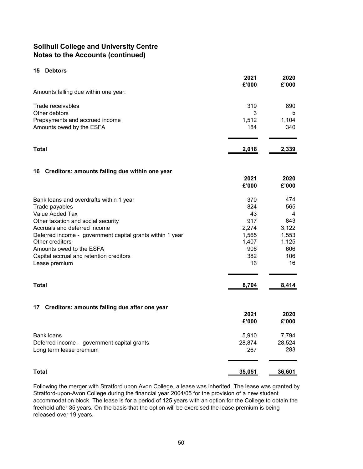# **15 Debtors**

|                                                           | 2021<br>£'000 | 2020<br>£'000 |
|-----------------------------------------------------------|---------------|---------------|
| Amounts falling due within one year:                      |               |               |
| Trade receivables                                         | 319           | 890           |
| Other debtors                                             | 3             | 5             |
| Prepayments and accrued income                            | 1,512         | 1,104         |
| Amounts owed by the ESFA                                  | 184           | 340           |
| <b>Total</b>                                              | 2,018         | 2,339         |
|                                                           |               |               |
| Creditors: amounts falling due within one year<br>16      |               |               |
|                                                           | 2021<br>£'000 | 2020<br>£'000 |
| Bank loans and overdrafts within 1 year                   | 370           | 474           |
| Trade payables                                            | 824           | 565           |
| Value Added Tax                                           | 43            | 4             |
| Other taxation and social security                        | 917           | 843           |
| Accruals and deferred income                              | 2,274         | 3,122         |
| Deferred income - government capital grants within 1 year | 1,565         | 1,553         |
| Other creditors                                           | 1,407         | 1,125         |
| Amounts owed to the ESFA                                  | 906<br>382    | 606<br>106    |
| Capital accrual and retention creditors<br>Lease premium  | 16            | 16            |
| <b>Total</b>                                              | 8,704         | 8,414         |
|                                                           |               |               |
| Creditors: amounts falling due after one year<br>17       |               |               |
|                                                           | 2021          | 2020          |
|                                                           | £'000         | £'000         |
| <b>Bank loans</b>                                         | 5,910         | 7,794         |
| Deferred income - government capital grants               | 28,874        | 28,524        |
| Long term lease premium                                   | 267           | 283           |
| <b>Total</b>                                              | 35,051        | 36,601        |

Following the merger with Stratford upon Avon College, a lease was inherited. The lease was granted by Stratford-upon-Avon College during the financial year 2004/05 for the provision of a new student accommodation block. The lease is for a period of 125 years with an option for the College to obtain the freehold after 35 years. On the basis that the option will be exercised the lease premium is being released over 19 years.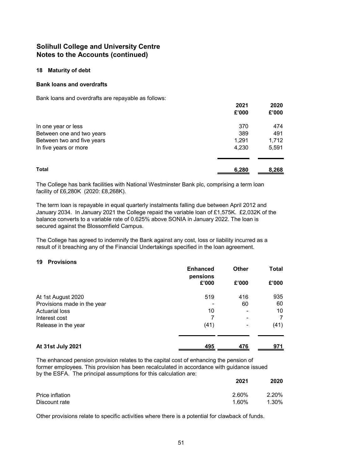### **18 Maturity of debt**

### **Bank loans and overdrafts**

Bank loans and overdrafts are repayable as follows:

|                            | 2021<br>£'000 | 2020<br>£'000 |
|----------------------------|---------------|---------------|
| In one year or less        | 370           | 474           |
| Between one and two years  | 389           | 491           |
| Between two and five years | 1,291         | 1,712         |
| In five years or more      | 4,230         | 5,591         |
| <b>Total</b>               | 6,280         | 8,268         |

The College has bank facilities with National Westminster Bank plc, comprising a term loan facility of £6,280K (2020: £8,268K).

The term loan is repayable in equal quarterly instalments falling due between April 2012 and January 2034. In January 2021 the College repaid the variable loan of £1,575K. £2,032K of the balance converts to a variable rate of 0.625% above SONIA in January 2022. The loan is secured against the Blossomfield Campus.

The College has agreed to indemnify the Bank against any cost, loss or liability incurred as a result of it breaching any of the Financial Undertakings specified in the loan agreement.

# **19 Provisions**

|                             | <b>Enhanced</b><br>pensions | <b>Other</b> | Total |
|-----------------------------|-----------------------------|--------------|-------|
|                             | £'000                       | £'000        | £'000 |
| At 1st August 2020          | 519                         | 416          | 935   |
| Provisions made in the year |                             | 60           | 60    |
| <b>Actuarial loss</b>       | 10                          |              | 10    |
| Interest cost               |                             | -            |       |
| Release in the year         | (41)                        | ۰            | (41)  |
| At 31st July 2021           | 495                         | 476          | 971   |

The enhanced pension provision relates to the capital cost of enhancing the pension of former employees. This provision has been recalculated in accordance with guidance issued by the ESFA. The principal assumptions for this calculation are:

|                 | 2021  | 2020  |
|-----------------|-------|-------|
| Price inflation | 2.60% | 2.20% |
| Discount rate   | 1.60% | 1.30% |

Other provisions relate to specific activities where there is a potential for clawback of funds.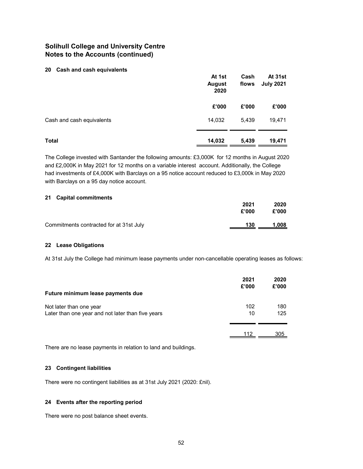### **20 Cash and cash equivalents**

|                           | At 1st<br><b>August</b><br>2020 | Cash<br>flows | At 31st<br><b>July 2021</b> |
|---------------------------|---------------------------------|---------------|-----------------------------|
|                           | £'000                           | £'000         | £'000                       |
| Cash and cash equivalents | 14,032                          | 5,439         | 19,471                      |
| <b>Total</b>              | 14,032                          | 5,439         | 19,471                      |

The College invested with Santander the following amounts: £3,000K for 12 months in August 2020 and £2,000K in May 2021 for 12 months on a variable interest account. Additionally, the College had investments of £4,000K with Barclays on a 95 notice account reduced to £3,000k in May 2020 with Barclays on a 95 day notice account.

#### **21 Capital commitments**

|                                         | 2021<br>£'000 | 2020<br>£'000 |
|-----------------------------------------|---------------|---------------|
| Commitments contracted for at 31st July | 130           | 1,008         |

### **22 Lease Obligations**

At 31st July the College had minimum lease payments under non-cancellable operating leases as follows:

| Future minimum lease payments due                                            | 2021<br>£'000 | 2020<br>£'000 |
|------------------------------------------------------------------------------|---------------|---------------|
| Not later than one year<br>Later than one year and not later than five years | 102<br>10     | 180<br>125    |
|                                                                              | 112           | 305           |

There are no lease payments in relation to land and buildings.

# **23 Contingent liabilities**

There were no contingent liabilities as at 31st July 2021 (2020: £nil).

### **24 Events after the reporting period**

There were no post balance sheet events.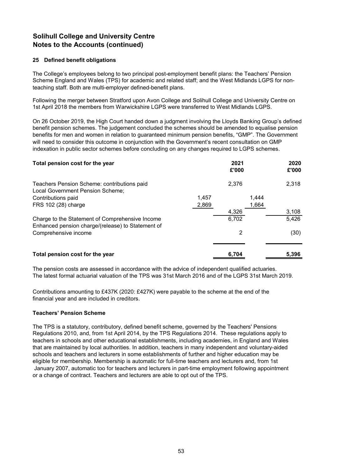### **25 Defined benefit obligations**

The College's employees belong to two principal post-employment benefit plans: the Teachers' Pension Scheme England and Wales (TPS) for academic and related staff; and the West Midlands LGPS for nonteaching staff. Both are multi-employer defined-benefit plans.

Following the merger between Stratford upon Avon College and Solihull College and University Centre on 1st April 2018 the members from Warwickshire LGPS were transferred to West Midlands LGPS.

On 26 October 2019, the High Court handed down a judgment involving the Lloyds Banking Group's defined benefit pension schemes. The judgement concluded the schemes should be amended to equalise pension benefits for men and women in relation to guaranteed minimum pension benefits, "GMP". The Government will need to consider this outcome in conjunction with the Government's recent consultation on GMP indexation in public sector schemes before concluding on any changes required to LGPS schemes.

| Total pension cost for the year                                                                      |       | 2021<br>£'000 | 2020<br>£'000 |
|------------------------------------------------------------------------------------------------------|-------|---------------|---------------|
| Teachers Pension Scheme: contributions paid<br>Local Government Pension Scheme;                      |       | 2.376         | 2,318         |
| Contributions paid                                                                                   | 1,457 | 1.444         |               |
| FRS 102 (28) charge                                                                                  | 2,869 | 1,664         |               |
|                                                                                                      |       | 4,326         | 3,108         |
| Charge to the Statement of Comprehensive Income<br>Enhanced pension charge/(release) to Statement of |       | 6,702         | 5,426         |
| Comprehensive income                                                                                 |       | 2             | (30)          |
| Total pension cost for the year                                                                      |       | 6.704         | 5,396         |

The pension costs are assessed in accordance with the advice of independent qualified actuaries. The latest formal actuarial valuation of the TPS was 31st March 2016 and of the LGPS 31st March 2019.

Contributions amounting to £437K (2020: £427K) were payable to the scheme at the end of the financial year and are included in creditors.

### **Teachers' Pension Scheme**

The TPS is a statutory, contributory, defined benefit scheme, governed by the Teachers' Pensions Regulations 2010, and, from 1st April 2014, by the TPS Regulations 2014. These regulations apply to teachers in schools and other educational establishments, including academies, in England and Wales that are maintained by local authorities. In addition, teachers in many independent and voluntary-aided schools and teachers and lecturers in some establishments of further and higher education may be eligible for membership. Membership is automatic for full-time teachers and lecturers and, from 1st January 2007, automatic too for teachers and lecturers in part-time employment following appointment or a change of contract. Teachers and lecturers are able to opt out of the TPS.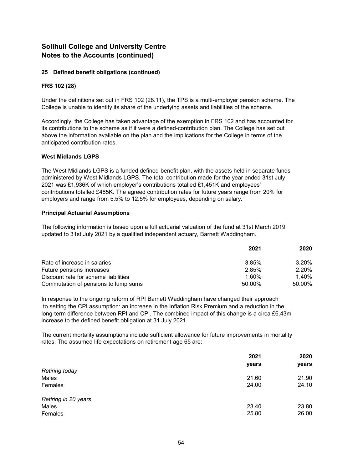# **25 Defined benefit obligations (continued)**

### **FRS 102 (28)**

Under the definitions set out in FRS 102 (28.11), the TPS is a multi-employer pension scheme. The College is unable to identify its share of the underlying assets and liabilities of the scheme.

Accordingly, the College has taken advantage of the exemption in FRS 102 and has accounted for its contributions to the scheme as if it were a defined-contribution plan. The College has set out above the information available on the plan and the implications for the College in terms of the anticipated contribution rates.

### **West Midlands LGPS**

The West Midlands LGPS is a funded defined-benefit plan, with the assets held in separate funds administered by West Midlands LGPS. The total contribution made for the year ended 31st July 2021 was £1,936K of which employer's contributions totalled £1,451K and employees' contributions totalled £485K. The agreed contribution rates for future years range from 20% for employers and range from 5.5% to 12.5% for employees, depending on salary.

# **Principal Actuarial Assumptions**

The following information is based upon a full actuarial valuation of the fund at 31st March 2019 updated to 31st July 2021 by a qualified independent actuary, Barnett Waddingham.

|                                      | 2021   | 2020   |
|--------------------------------------|--------|--------|
| Rate of increase in salaries         | 3.85%  | 3.20%  |
| Future pensions increases            | 2.85%  | 2.20%  |
| Discount rate for scheme liabilities | 1.60%  | 1.40%  |
| Commutation of pensions to lump sums | 50.00% | 50.00% |

In response to the ongoing reform of RPI Barnett Waddingham have changed their approach to setting the CPI assumption: an increase in the Inflation Risk Premium and a reduction in the long-term difference between RPI and CPI. The combined impact of this change is a circa £6.43m increase to the defined benefit obligation at 31 July 2021.

The current mortality assumptions include sufficient allowance for future improvements in mortality rates. The assumed life expectations on retirement age 65 are:

|                       | 2021  |       |
|-----------------------|-------|-------|
|                       | years | years |
| <b>Retiring today</b> |       |       |
| Males                 | 21.60 | 21.90 |
| Females               | 24.00 | 24.10 |
| Retiring in 20 years  |       |       |
| Males                 | 23.40 | 23.80 |
| Females               | 25.80 | 26.00 |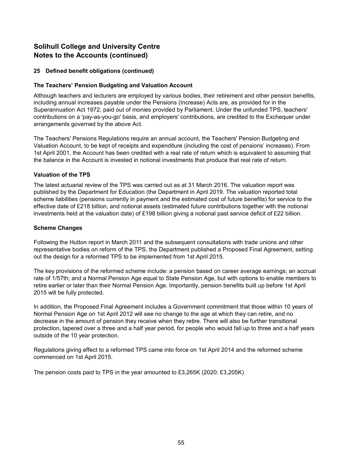# **25 Defined benefit obligations (continued)**

# **The Teachers' Pension Budgeting and Valuation Account**

Although teachers and lecturers are employed by various bodies, their retirement and other pension benefits, including annual increases payable under the Pensions (Increase) Acts are, as provided for in the Superannuation Act 1972, paid out of monies provided by Parliament. Under the unfunded TPS, teachers' contributions on a 'pay-as-you-go' basis, and employers' contributions, are credited to the Exchequer under arrangements governed by the above Act.

The Teachers' Pensions Regulations require an annual account, the Teachers' Pension Budgeting and Valuation Account, to be kept of receipts and expenditure (including the cost of pensions' increases). From 1st April 2001, the Account has been credited with a real rate of return which is equivalent to assuming that the balance in the Account is invested in notional investments that produce that real rate of return.

# **Valuation of the TPS**

The latest actuarial review of the TPS was carried out as at 31 March 2016. The valuation report was published by the Department for Education (the Department in April 2019. The valuation reported total scheme liabilities (pensions currently in payment and the estimated cost of future benefits) for service to the effective date of £218 billion, and notional assets (estimated future contributions together with the notional investments held at the valuation date) of £198 billion giving a notional past service deficit of £22 billion.

# **Scheme Changes**

Following the Hutton report in March 2011 and the subsequent consultations with trade unions and other representative bodies on reform of the TPS, the Department published a Proposed Final Agreement, setting out the design for a reformed TPS to be implemented from 1st April 2015.

The key provisions of the reformed scheme include: a pension based on career average earnings; an accrual rate of 1/57th; and a Normal Pension Age equal to State Pension Age, but with options to enable members to retire earlier or later than their Normal Pension Age. Importantly, pension benefits built up before 1st April 2015 will be fully protected.

In addition, the Proposed Final Agreement includes a Government commitment that those within 10 years of Normal Pension Age on 1st April 2012 will see no change to the age at which they can retire, and no decrease in the amount of pension they receive when they retire. There will also be further transitional protection, tapered over a three and a half year period, for people who would fall up to three and a half years outside of the 10 year protection.

Regulations giving effect to a reformed TPS came into force on 1st April 2014 and the reformed scheme commenced on 1st April 2015.

The pension costs paid to TPS in the year amounted to £3,265K (2020: £3,205K)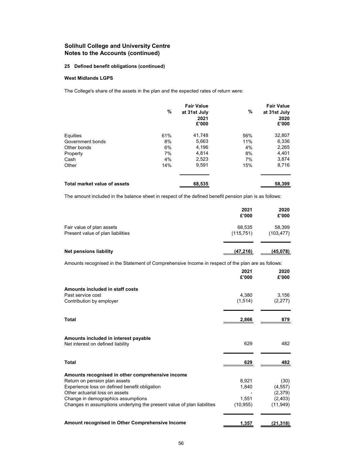# **25 Defined benefit obligations (continued)**

### **West Midlands LGPS**

The College's share of the assets in the plan and the expected rates of return were:

|                              | %   | <b>Fair Value</b><br>at 31st July<br>2021<br>£'000 | %   | <b>Fair Value</b><br>at 31st July<br>2020<br>£'000 |
|------------------------------|-----|----------------------------------------------------|-----|----------------------------------------------------|
| Equities                     | 61% | 41,748                                             | 56% | 32,807                                             |
| Government bonds             | 8%  | 5,663                                              | 11% | 6,336                                              |
| Other bonds                  | 6%  | 4,196                                              | 4%  | 2,265                                              |
| Property                     | 7%  | 4.814                                              | 8%  | 4,401                                              |
| Cash                         | 4%  | 2,523                                              | 7%  | 3,874                                              |
| Other                        | 14% | 9,591                                              | 15% | 8,716                                              |
| Total market value of assets |     | 68,535                                             |     | 58,399                                             |

The amount included in the balance sheet in respect of the defined benefit pension plan is as follows:

|                                                                                                    | 2021<br>£'000        | 2020<br>£'000        |
|----------------------------------------------------------------------------------------------------|----------------------|----------------------|
| Fair value of plan assets<br>Present value of plan liabilities                                     | 68.535<br>(115, 751) | 58.399<br>(103, 477) |
| Net pensions liability                                                                             | (47,216)             | (45,078)             |
| Amounts recognised in the Statement of Comprehensive Income in respect of the plan are as follows: |                      |                      |

|                                                                         | 2021<br>£'000     | 2020<br>£'000    |
|-------------------------------------------------------------------------|-------------------|------------------|
| Amounts included in staff costs                                         |                   |                  |
| Past service cost<br>Contribution by employer                           | 4,380<br>(1, 514) | 3,156<br>(2,277) |
| Total                                                                   | 2,866             | 879              |
| Amounts included in interest payable                                    |                   |                  |
| Net interest on defined liability                                       | 629               | 482              |
| <b>Total</b>                                                            | 629               | 482              |
| Amounts recognised in other comprehensive income                        |                   |                  |
| Return on pension plan assets                                           | 8,921             | (30)             |
| Experience loss on defined benefit obligation                           | 1,840             | (4, 557)         |
| Other actuarial loss on assets                                          |                   | (2,379)          |
| Change in demographics assumptions                                      | 1,551             | (2, 403)         |
| Changes in assumptions underlying the present value of plan liabilities | (10, 955)         | (11, 949)        |
| Amount recognised in Other Comprehensive Income                         | 1,357             | (21, 318)        |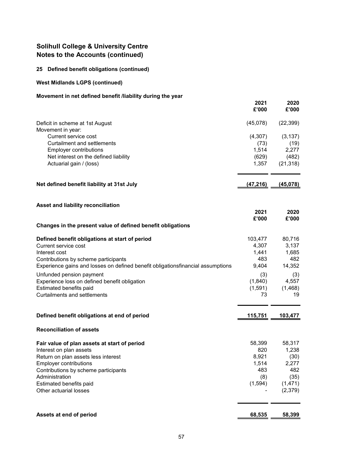# **25 Defined benefit obligations (continued)**

# **West Midlands LGPS (continued)**

# **Movement in net defined benefit /liability during the year**

|                                                                                                                         | 2021<br>£'000  | 2020<br>£'000  |
|-------------------------------------------------------------------------------------------------------------------------|----------------|----------------|
| Deficit in scheme at 1st August<br>Movement in year:                                                                    | (45,078)       | (22, 399)      |
| Current service cost                                                                                                    | (4,307)        | (3, 137)       |
| <b>Curtailment and settlements</b>                                                                                      | (73)           | (19)           |
| Employer contributions<br>Net interest on the defined liability                                                         | 1,514<br>(629) | 2,277<br>(482) |
| Actuarial gain / (loss)                                                                                                 | 1,357          | (21, 318)      |
|                                                                                                                         |                |                |
| Net defined benefit liability at 31st July                                                                              | (47, 216)      | (45,078)       |
| Asset and liability reconciliation                                                                                      |                |                |
|                                                                                                                         | 2021<br>£'000  | 2020<br>£'000  |
| Changes in the present value of defined benefit obligations                                                             |                |                |
| Defined benefit obligations at start of period                                                                          | 103,477        | 80,716         |
| Current service cost                                                                                                    | 4,307          | 3,137          |
| Interest cost                                                                                                           | 1,441<br>483   | 1,685          |
| Contributions by scheme participants<br>Experience gains and losses on defined benefit obligationsfinancial assumptions | 9,404          | 482<br>14,352  |
| Unfunded pension payment                                                                                                | (3)            | (3)            |
| Experience loss on defined benefit obligation                                                                           | (1,840)        | 4,557          |
| Estimated benefits paid<br><b>Curtailments and settlements</b>                                                          | (1,591)<br>73  | (1,468)<br>19  |
|                                                                                                                         |                |                |
| Defined benefit obligations at end of period                                                                            | 115,751        | 103,477        |
| <b>Reconciliation of assets</b>                                                                                         |                |                |
| Fair value of plan assets at start of period                                                                            | 58,399         | 58,317         |
| Interest on plan assets                                                                                                 | 820            | 1,238          |
| Return on plan assets less interest<br>Employer contributions                                                           | 8,921<br>1,514 | (30)<br>2,277  |
| Contributions by scheme participants                                                                                    | 483            | 482            |
| Administration                                                                                                          | (8)            | (35)           |
| Estimated benefits paid                                                                                                 | (1, 594)       | (1, 471)       |
| Other actuarial losses                                                                                                  |                | (2,379)        |
|                                                                                                                         |                |                |
| Assets at end of period                                                                                                 | 68,535         | 58,399         |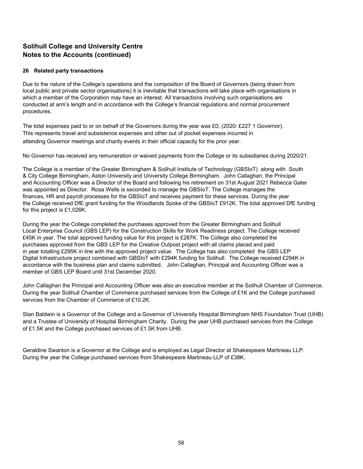### **26 Related party transactions**

Due to the nature of the College's operations and the composition of the Board of Governors (being drawn from local public and private sector organisations) it is inevitable that transactions will take place with organisations in which a member of the Corporation may have an interest. All transactions involving such organisations are conducted at arm's length and in accordance with the College's financial regulations and normal procurement procedures.

The total expenses paid to or on behalf of the Governors during the year was £0; (2020: £227 1 Governor). This represents travel and subsistence expenses and other out of pocket expenses incurred in attending Governor meetings and charity events in their official capacity for the prior year.

No Governor has received any remuneration or waived payments from the College or its subsidiaries during 2020/21.

The College is a member of the Greater Birmingham & Solihull Institute of Technology (GBSIoT) along with South & City College Birmingham, Aston University and University College Birmingham. John Callaghan, the Principal and Accounting Officer was a Director of the Board and following his retirement on 31st August 2021 Rebecca Gater was appointed as Director. Rosa Wells is seconded to manage the GBSIoT. The College manages the finances, HR and payroll processes for the GBSIoT and receives payment for these services. During the year the College received DfE grant funding for the Woodlands Spoke of the GBSIoT £912K. The total approved DfE funding for this project is £1,026K.

During the year the College completed the purchases approved from the Greater Birmingham and Solihull Local Enterprise Council (GBS LEP) for the Construction Skills for Work Readiness project. The College received £45K in year. The total approved funding value for this project is £287K. The College also completed the purchases approved from the GBS LEP for the Creative Outpost project with all claims placed and paid in year totalling £295K in line with the approved project value. The College has also completed the GBS LEP Digital Infrastructure project combined with GBSIoT with £294K funding for Solihull. The College received £294K in accordance with the business plan and claims submitted. John Callaghan, Principal and Accounting Officer was a member of GBS LEP Board until 31st December 2020.

John Callaghan the Principal and Accounting Officer was also an executive member at the Solihull Chamber of Commerce. During the year Solihull Chamber of Commerce purchased services from the College of £1K and the College purchased services from the Chamber of Commerce of £10.2K.

Stan Baldwin is a Governor of the College and a Governor of University Hospital Birmingham NHS Foundation Trust (UHB) and a Trustee of University of Hospital Birmingham Charity. During the year UHB purchased services from the College of £1.5K and the College purchased services of £1.5K from UHB.

Geraldine Swanton is a Governor at the College and is employed as Legal Director at Shakespeare Martineau LLP. During the year the College purchased services from Shakespeare Martineau LLP of £38K.